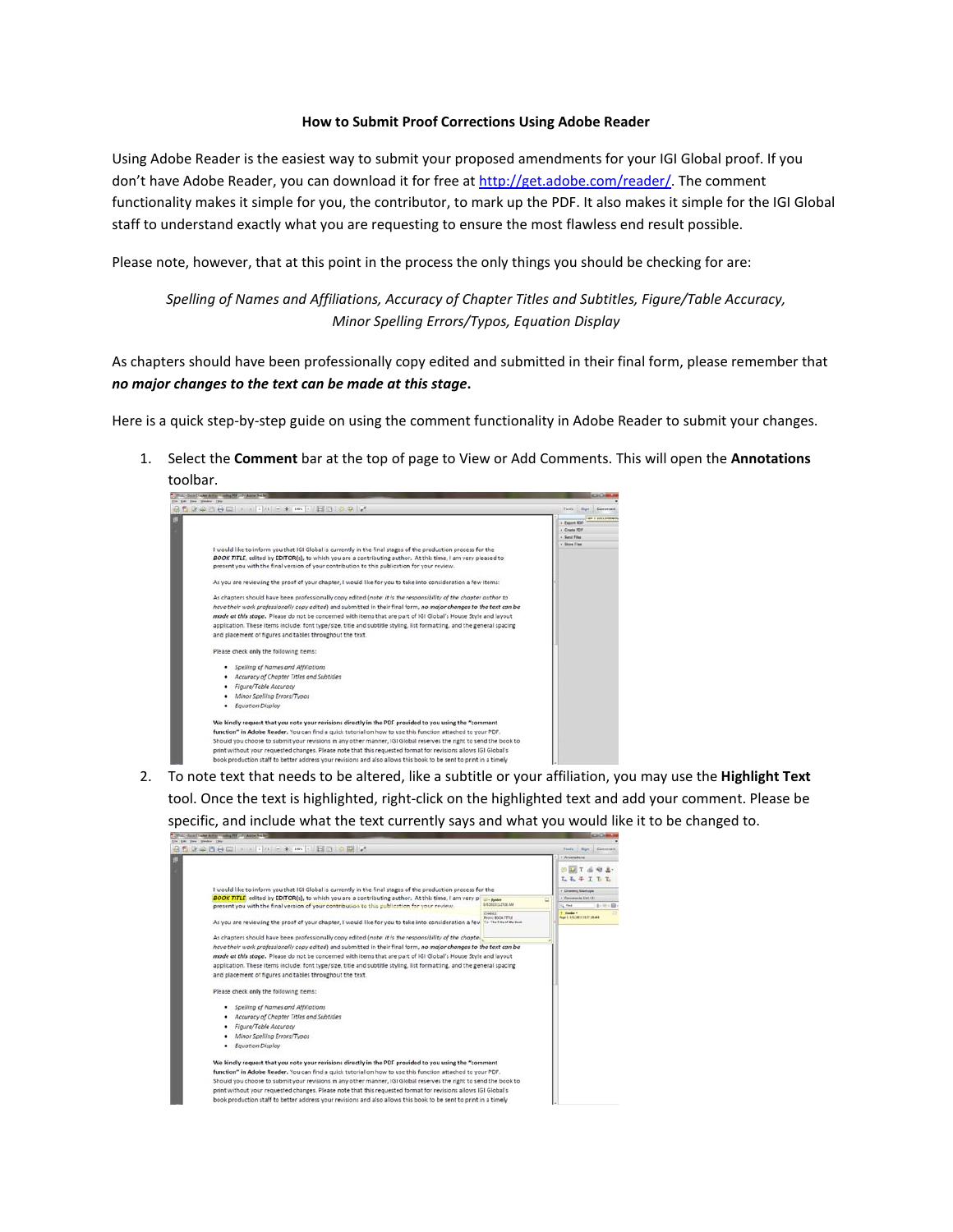#### **How to Submit Proof Corrections Using Adobe Reader**

Using Adobe Reader is the easiest way to submit your proposed amendments for your IGI Global proof. If you don't have Adobe Reader, you can download it for free at [http://get.adobe.com/reader/.](http://get.adobe.com/reader/) The comment functionality makes it simple for you, the contributor, to mark up the PDF. It also makes it simple for the IGI Global staff to understand exactly what you are requesting to ensure the most flawless end result possible.

Please note, however, that at this point in the process the only things you should be checking for are:

*Spelling of Names and Affiliations, Accuracy of Chapter Titles and Subtitles, Figure/Table Accuracy, Minor Spelling Errors/Typos, Equation Display*

As chapters should have been professionally copy edited and submitted in their final form, please remember that *no major changes to the text can be made at this stage***.** 

Here is a quick step-by-step guide on using the comment functionality in Adobe Reader to submit your changes.

1. Select the **Comment** bar at the top of page to View or Add Comments. This will open the **Annotations**



2. To note text that needs to be altered, like a subtitle or your affiliation, you may use the **Highlight Text** tool. Once the text is highlighted, right-click on the highlighted text and add your comment. Please be specific, and include what the text currently says and what you would like it to be changed to.

<span id="page-0-0"></span>

| - Sund 1 what duties 1 willing H.W., 17 ( All for New York)<br>in View Weekly Her                                                                                                                         |                                                       | <b>ACADEMY</b>                                   |
|-----------------------------------------------------------------------------------------------------------------------------------------------------------------------------------------------------------|-------------------------------------------------------|--------------------------------------------------|
| $300000011111 - 411$ H30300                                                                                                                                                                               |                                                       | Sun<br>Conveyed<br>Tachi                         |
|                                                                                                                                                                                                           |                                                       | * Annetaliens                                    |
|                                                                                                                                                                                                           |                                                       | $L - L$                                          |
| I would like to inform you that IGI Global is currently in the final stages of the production process for the                                                                                             |                                                       | + Draming Markups                                |
| <b>BOOK TITLE</b> edited by EDITOR(s), to which you are a contributing author. At this time, I am very of<br>present you with the final version of your contribution to this publication for your review. | <b>ED - Bender</b><br><b>SILIDES IS FLOR AND</b>      | · Caromeric Unit (1)<br>$3 - 10 = 59$<br>its not |
|                                                                                                                                                                                                           | OMM                                                   | T. Seeder 4                                      |
| As you are reviewing the proof of your chapter, I would like for you to take into consideration a few                                                                                                     | <b>Report BOOK TITUE</b><br>The The Title of the Soul | Applications In IT Journals                      |
| As chapters should have been professionally copy edited (note: it is the responsibility of the chapter                                                                                                    |                                                       |                                                  |
| have their work professionally copy edited) and submitted in their final form, no major changes to the text can be                                                                                        |                                                       |                                                  |
| mode at this stage. Please do not be concerned with items that are part of IGI Global's House Style and layout                                                                                            |                                                       |                                                  |
| application. These items include: font type/size, title and subtitle styling. list formatting, and the general spacing                                                                                    |                                                       |                                                  |
| and placement of figures and tables throughout the text.                                                                                                                                                  |                                                       |                                                  |
| Please check only the following items:                                                                                                                                                                    |                                                       |                                                  |
| Spelling of Names and Affiliations                                                                                                                                                                        |                                                       |                                                  |
| Accuracy of Chapter Titles and Subtitles                                                                                                                                                                  |                                                       |                                                  |
| Figure/Table Accuracy                                                                                                                                                                                     |                                                       |                                                  |
| Minor Spelling Errors/Typos                                                                                                                                                                               |                                                       |                                                  |
| Equation Display<br>٠                                                                                                                                                                                     |                                                       |                                                  |
| We kindly request that you note your revisions directly in the PDF provided to you using the "comment                                                                                                     |                                                       |                                                  |
| function" in Adobe Reader. You can find a quick tutorial on how to use this function attached to your PDF.                                                                                                |                                                       |                                                  |
| Should you choose to submit your revisions in any other manner. IGI Global reserves the right to send the book to                                                                                         |                                                       |                                                  |
| print without your requested changes. Please note that this requested format for revisions allows IGI Global's                                                                                            |                                                       |                                                  |
| book production staff to better address your revisions and also allows this book to be sent to print in a timely                                                                                          |                                                       |                                                  |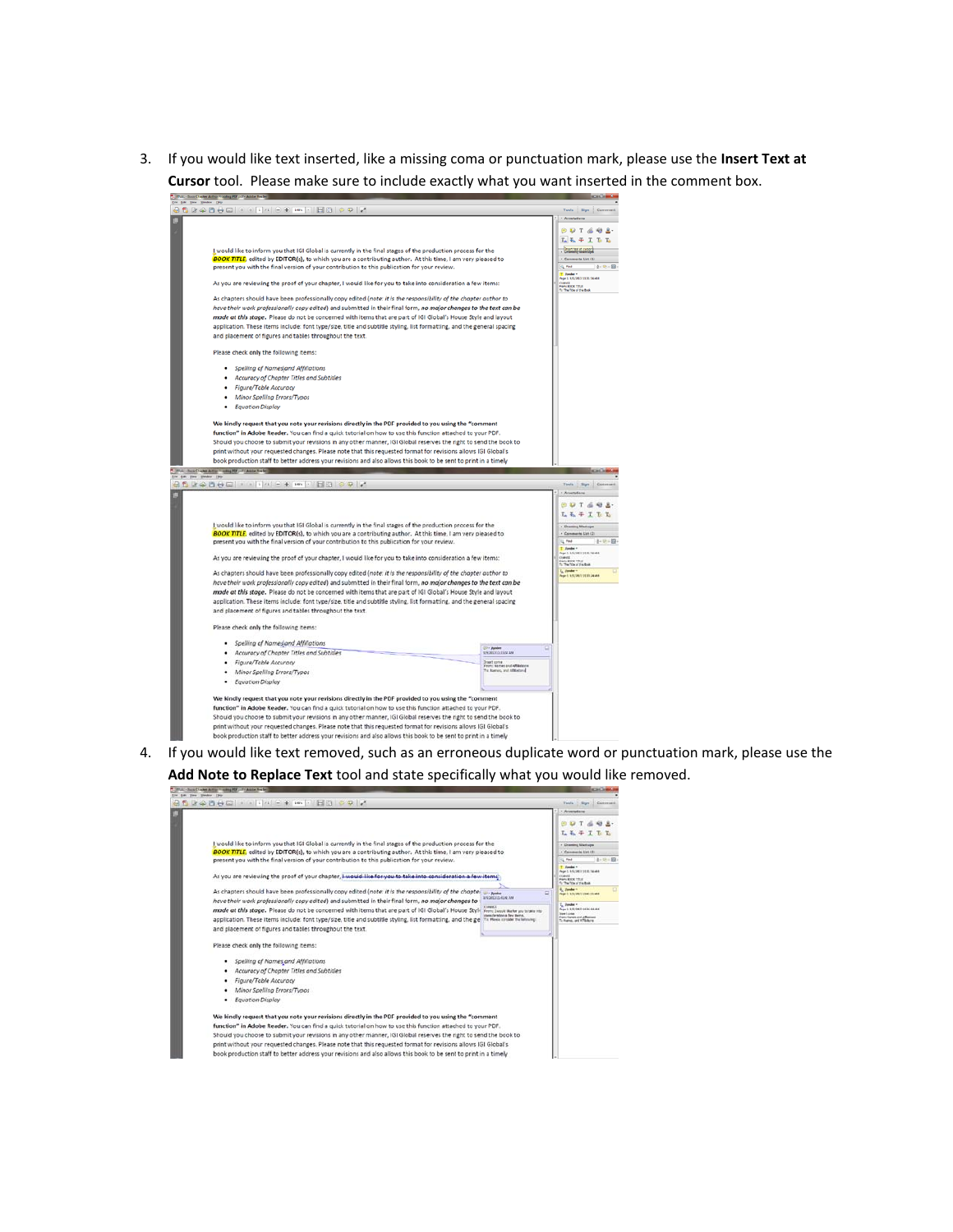3. If you would like text inserted, like a missing coma or punctuation mark, please use the **Insert Text at Cursor** tool. Please make sure to include exactly what you want inserted in the comment box.



4. If you would like text removed, such as an erroneous duplicate word or punctuation mark, please use the **Add Note to Replace Text** tool and state specifically what you would like removed.

| This is found that be determined to strong PCP and a determined from                                                                                                                                                                                                                                                                         | scal base as                                                                                                                |
|----------------------------------------------------------------------------------------------------------------------------------------------------------------------------------------------------------------------------------------------------------------------------------------------------------------------------------------------|-----------------------------------------------------------------------------------------------------------------------------|
| Edit View Weekly Help                                                                                                                                                                                                                                                                                                                        |                                                                                                                             |
|                                                                                                                                                                                                                                                                                                                                              | Sun<br>Conveyed<br>Tachi                                                                                                    |
| I would like to inform you that IGI Global is currently in the final stages of the production process for the                                                                                                                                                                                                                                | * Annetaliens<br>玉玉子<br>+ Draming Markups                                                                                   |
| <b>BOOK TITLE</b> , edited by EDITOR(s), to which you are a contributing author. At this time, I am very pleased to                                                                                                                                                                                                                          | · Caromeria Uan (8)                                                                                                         |
| present you with the final version of your contribution to this publication for your review.                                                                                                                                                                                                                                                 | $3 - 10 - 59$<br>SL PHF<br>T Juste -                                                                                        |
| As you are reviewing the proof of your chapter, Lwould like for you to take into consideration a few items'                                                                                                                                                                                                                                  | Page 1, 4-5-340 115-15-344<br><b>Grand E</b><br>Print & CA 11314<br>for the Title of the Book                               |
| As chapters should have been professionally copy edited (note: it is the responsibility of the chapter<br><b>Corp. Bucabas</b><br><b>AIS QRED TO ALIVE THAT</b><br>have their work professionally copy edited) and submitted in their final form, no major changes to                                                                        | 6, Janders<br>Page 5, A/C/206113-3110, AM                                                                                   |
| <b>CHARE</b><br>mode at this stage. Please do not be concerned with items that are part of IGI Global's House Style<br>From I would like for you to take into<br>peacherships a fast bears.<br>application. These items include: font type/size, title and subtitle styling, list formatting, and the ge<br>To: Howes complex the federates: | L. Jundai v.<br>Feart 1. 8-5:0003 11.34.444 AM<br><b>Stew Luxee</b><br>From Service and Affairment<br>To Rums, and AT&dure. |
| and placement of figures and tables throughout the text.                                                                                                                                                                                                                                                                                     |                                                                                                                             |
| Please check only the following items:                                                                                                                                                                                                                                                                                                       |                                                                                                                             |
| Spelling of Names and Affiliations                                                                                                                                                                                                                                                                                                           |                                                                                                                             |
| Accuracy of Chapter Titles and Subtitles                                                                                                                                                                                                                                                                                                     |                                                                                                                             |
| Figure/Table Accuracy<br>٠                                                                                                                                                                                                                                                                                                                   |                                                                                                                             |
| Minor Spelling Errors/Typos                                                                                                                                                                                                                                                                                                                  |                                                                                                                             |
| <b>Equation Display</b>                                                                                                                                                                                                                                                                                                                      |                                                                                                                             |
| We kindly request that you note your revisions directly in the PDF provided to you using the "comment                                                                                                                                                                                                                                        |                                                                                                                             |
| function" in Adobe Reader. You can find a quick tutorial on how to use this function attached to your PDF.                                                                                                                                                                                                                                   |                                                                                                                             |
| Should you choose to submit your revisions in any other manner. IGI Global reserves the right to send the book to                                                                                                                                                                                                                            |                                                                                                                             |
| print without your requested changes. Please note that this requested format for revisions allows IGI Global's                                                                                                                                                                                                                               |                                                                                                                             |
| book production staff to better address your revisions and also allows this book to be sent to print in a timely                                                                                                                                                                                                                             |                                                                                                                             |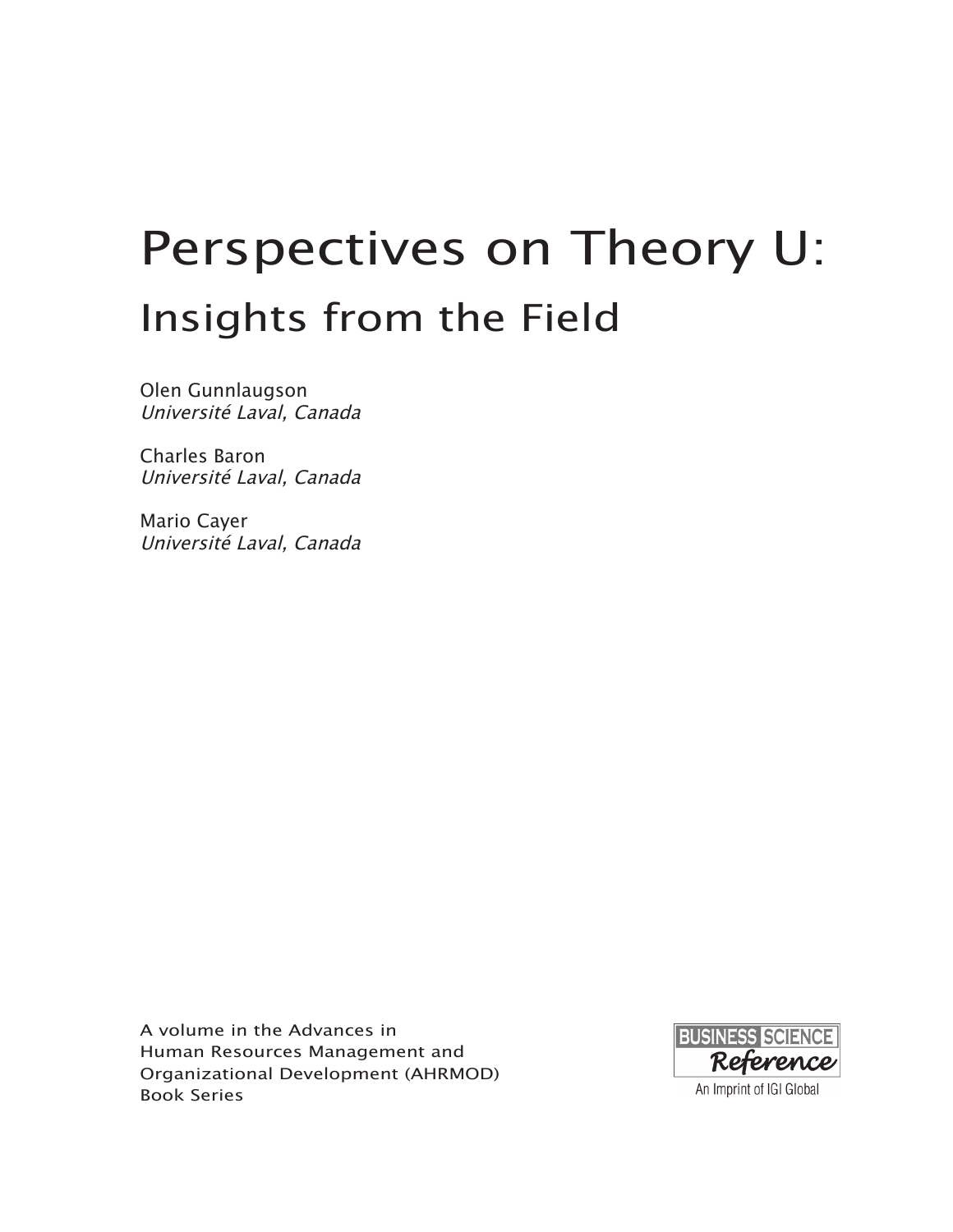# Perspectives on Theory U: Insights from the Field

Olen Gunnlaugson Université Laval, Canada

Charles Baron Université Laval, Canada

Mario Cayer Université Laval, Canada

A volume in the Advances in Human Resources Management and Organizational Development (AHRMOD) Book Series

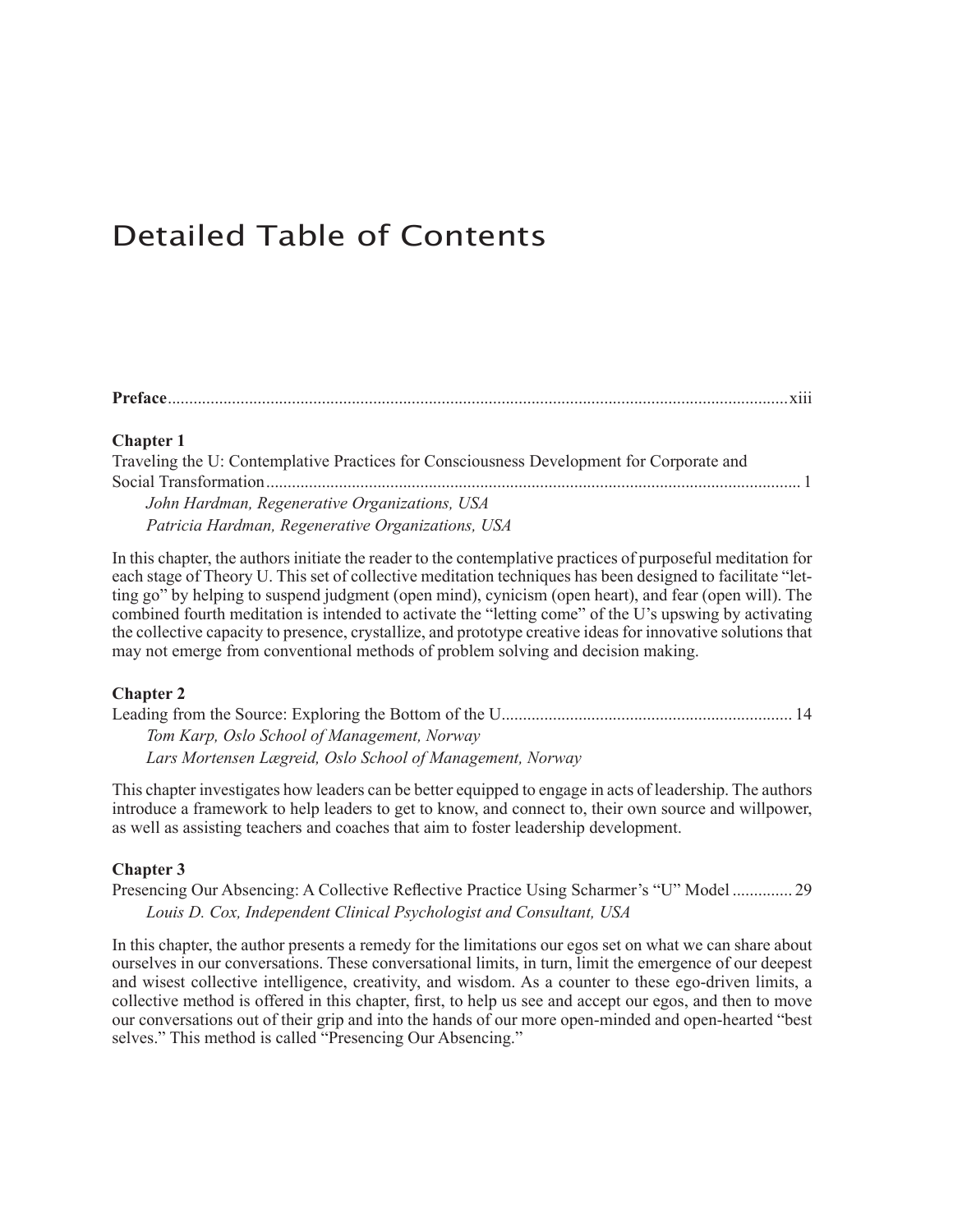### Detailed Table of Contents

#### **[Chapter 1](#page-0-0)**

| Traveling the U: Contemplative Practices for Consciousness Development for Corporate and |  |
|------------------------------------------------------------------------------------------|--|
|                                                                                          |  |
| John Hardman, Regenerative Organizations, USA                                            |  |
| Patricia Hardman, Regenerative Organizations, USA                                        |  |

In this chapter, the authors initiate the reader to the [contemplative](#page-0-0) practices of purposeful meditation for each stage of Theory U. This set of collective [meditation](#page-0-0) techniques has been designed to facilitate "letting go" by helping to suspend [judgment](#page-0-0) (open mind), cynicism (open heart), and fear (open will). The combined fourth [meditation](#page-0-0) is intended to activate the "letting come" of the U's upswing by activating the collective capacity to presence, [crystallize,](#page-0-0) and prototype creative ideas for innovative solutions that may not emerge from [conventional](#page-0-0) methods of problem solving and decision making.

#### **[Chapter 2](#page-0-0)**

| Tom Karp, Oslo School of Management, Norway               |  |
|-----------------------------------------------------------|--|
| Lars Mortensen Lægreid, Oslo School of Management, Norway |  |

This chapter [investigates](#page-0-0) how leaders can be better equipped to engage in acts of leadership. The authors introduce a [framework](#page-0-0) to help leaders to get to know, and connect to, their own source and willpower, as well as assisting teachers and coaches that aim to foster leadership [development.](#page-0-0)

#### **[Chapter 3](#page-0-0)**

Presencing Our Absencing: A Collective Reflective Practice Using Scharmer's "U" [Model...............](#page-0-0) 29 *[Louis D. Cox, Independent Clinical Psychologist and Consultant, USA](#page-0-0)*

In this chapter, the author presents a remedy for the [limitations](#page-0-0) our egos set on what we can share about ourselves in our conversations. These [conversational](#page-0-0) limits, in turn, limit the emergence of our deepest and wisest collective [intelligence,](#page-0-0) creativity, and wisdom. As a counter to these ego-driven limits, a [collective](#page-0-0) method is offered in this chapter, first, to help us see and accept our egos, and then to move our [conversations](#page-0-0) out of their grip and into the hands of our more open-minded and open-hearted "best selves." This method is called "Presencing Our [Absencing."](#page-0-0)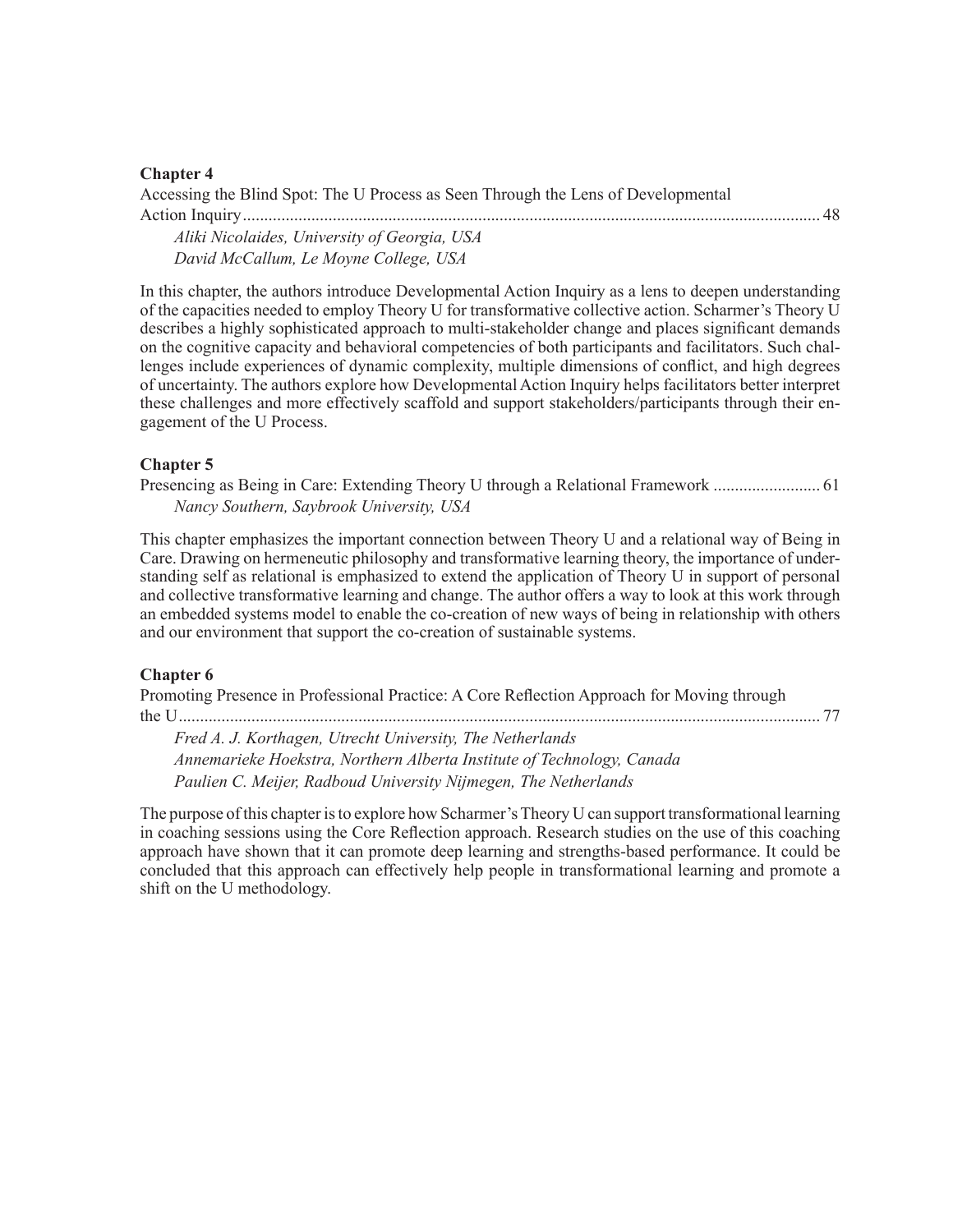Accessing the Blind Spot: The U Process as Seen Through the Lens of [Developmental](#page-0-0) Action [Inquiry........................................................................................................................................](#page-0-0) 48

*[Aliki Nicolaides, University of Georgia, USA](#page-0-0) [David McCallum, Le Moyne College, USA](#page-0-0)*

In this chapter, the authors introduce [Developmental](#page-0-0) Action Inquiry as a lens to deepen understanding of the capacities needed to employ Theory U for [transformative](#page-0-0) collective action. Scharmer's Theory U describes a highly sophisticated approach to [multi-stakeholder](#page-0-0) change and places significant demands on the cognitive capacity and behavioral [competencies](#page-0-0) of both participants and facilitators. Such challenges include [experiences](#page-0-0) of dynamic complexity, multiple dimensions of conflict, and high degrees of uncertainty. The authors explore how [Developmental](#page-0-0) Action Inquiry helps facilitators better interpret these challenges and more effectively scaffold and support [stakeholders/participants](#page-0-0) through their en[gagement](#page-0-0) of the U Process.

#### **[Chapter 5](#page-0-0)**

Presencing as Being in Care: Extending Theory U through a Relational [Framework..........................](#page-0-0) 61 *[Nancy Southern, Saybrook University, USA](#page-0-0)*

This chapter [emphasizes](#page-0-0) the important connection between Theory U and a relational way of Being in Care. Drawing on hermeneutic philosophy and [transformative](#page-0-0) learning theory, the importance of understanding self as relational is [emphasized](#page-0-0) to extend the application of Theory U in support of personal and collective [transformative](#page-0-0) learning and change. The author offers a way to look at this work through an embedded systems model to enable the co-creation of new ways of being in [relationship](#page-0-0) with others and our [environment](#page-0-0) that support the co-creation of sustainable systems.

#### **[Chapter 6](#page-0-0)**

Promoting Presence in [Professional](#page-0-0) Practice: A Core Reflection Approach for Moving through the [U.......................................................................................................................................................](#page-0-0) 77

*[Fred A. J. Korthagen, Utrecht University, The Netherlands](#page-0-0) [Annemarieke Hoekstra, Northern Alberta Institute of Technology, Canada](#page-0-0) [Paulien C. Meijer, Radboud University Nijmegen, The Netherlands](#page-0-0)*

The purpose of this chapter is to explore how Scharmer's Theory U can support transformational learning in coaching sessions using the Core [Reflection](#page-0-0) approach. Research studies on the use of this coaching approach have shown that it can promote deep learning and [strengths-based](#page-0-0) performance. It could be concluded that this approach can effectively help people in [transformational](#page-0-0) learning and promote a shift on the U [methodology.](#page-0-0)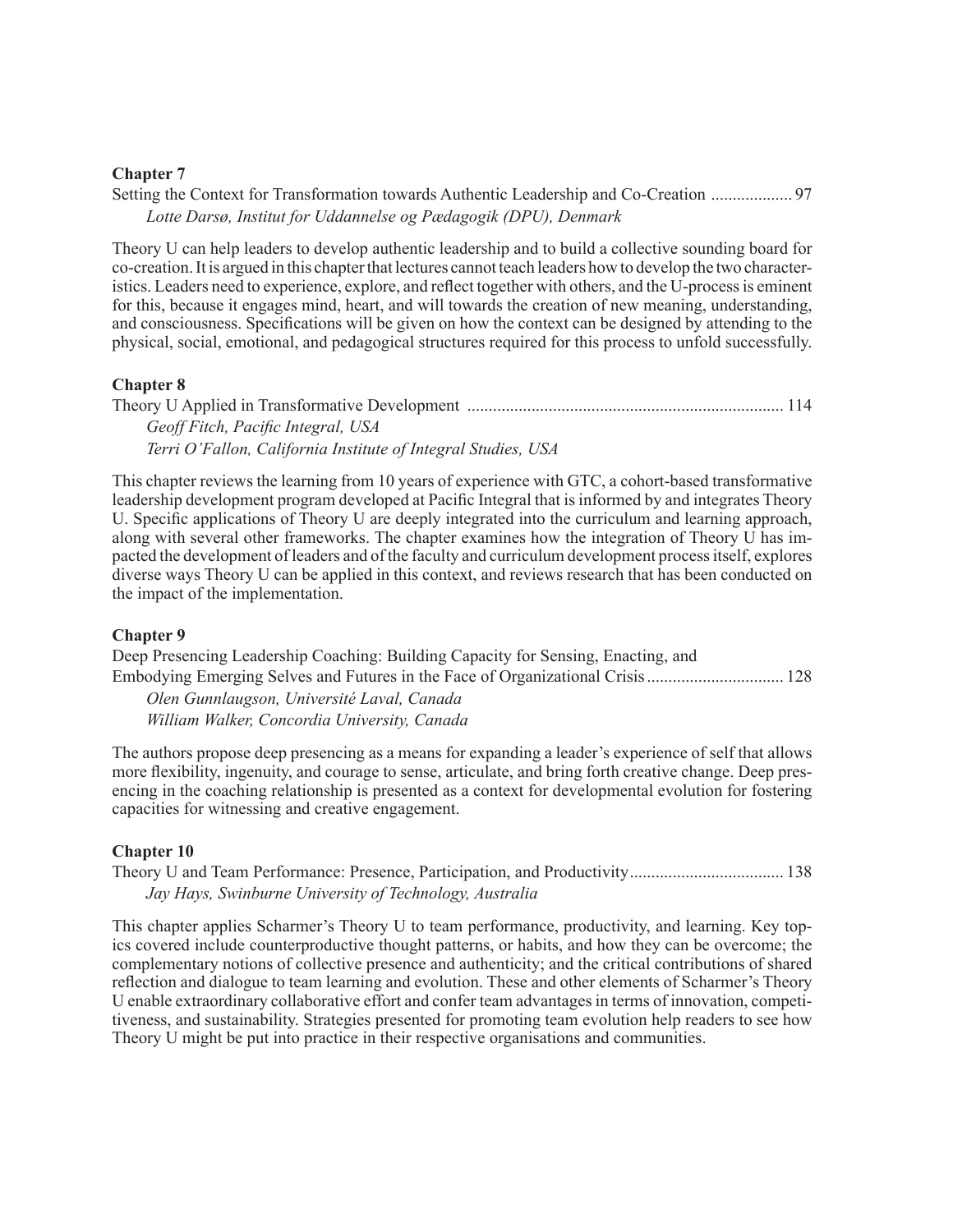Setting the Context for [Transformation](#page-0-0) towards Authentic Leadership and Co-Creation .................... 97 *[Lotte Darsø, Institut for Uddannelse og Pædagogik \(DPU\), Denmark](#page-0-0)*

Theory U can help leaders to develop authentic [leadership](#page-0-0) and to build a collective sounding board for co-creation. It is argued in this chapter that lectures cannot teach leaders how to develop the two characteristics. Leaders need to experience, explore, and reflect together with others, and the [U-processis](#page-0-0) eminent for this, because it engages mind, heart, and will towards the creation of new meaning, [understanding,](#page-0-0) and [consciousness.](#page-0-0) Specifications will be given on how the context can be designed by attending to the physical, social, emotional, and pedagogical structures required for this process to unfold [successfully.](#page-0-0)

#### **[Chapter 8](#page-0-0)**

| Geoff Fitch, Pacific Integral, USA                            |  |
|---------------------------------------------------------------|--|
| Terri O'Fallon, California Institute of Integral Studies, USA |  |

This chapter reviews the learning from 10 years of experience with GTC, a cohort-based [transformative](#page-0-0) leadership [development](#page-0-0) program developed at Pacific Integral that is informed by and integrates Theory U. Specific [applications](#page-0-0) of Theory U are deeply integrated into the curriculum and learning approach, along with several other [frameworks.](#page-0-0) The chapter examines how the integration of Theory U has impacted the development of leaders and of the faculty and curriculum development process itself, explores diverse ways Theory U can be applied in this context, and reviews research that has been [conducted](#page-0-0) on the impact of the [implementation.](#page-0-0)

#### **[Chapter 9](#page-0-0)**

Deep Presencing [Leadership](#page-0-0) Coaching: Building Capacity for Sensing, Enacting, and Embodying Emerging Selves and Futures in the Face of Organizational [Crisis.................................](#page-0-0) 128 *[Olen Gunnlaugson, Université Laval, Canada](#page-0-0)*

*[William Walker, Concordia University, Canada](#page-0-0)*

The authors propose deep [presencing](#page-0-0) as a means for expanding a leader's experience of self that allows more [flexibility,](#page-0-0) ingenuity, and courage to sense, articulate, and bring forth creative change. Deep presencing in the coaching relationship is presented as a context for [developmental](#page-0-0) evolution for fostering capacities for witnessing and creative [engagement.](#page-0-0)

#### **[Chapter 10](#page-0-0)**

Theory U and Team Performance: Presence, Participation, and [Productivity.....................................](#page-0-0) 138 *[Jay Hays, Swinburne University of Technology, Australia](#page-0-0)*

This chapter applies Scharmer's Theory U to team [performance,](#page-0-0) productivity, and learning. Key topics covered include [counterproductive](#page-0-0) thought patterns, or habits, and how they can be overcome; the [complementary](#page-0-0) notions of collective presence and authenticity; and the critical contributions of shared reflection and dialogue to team learning and evolution. These and other elements of [Scharmer's](#page-0-0) Theory U enable extraordinary collaborative effort and confer team [advantagesin](#page-0-0) terms of innovation, competitiveness, and [sustainability.](#page-0-0) Strategies presented for promoting team evolution help readers to see how Theory U might be put into practice in their respective organisations and [communities.](#page-0-0)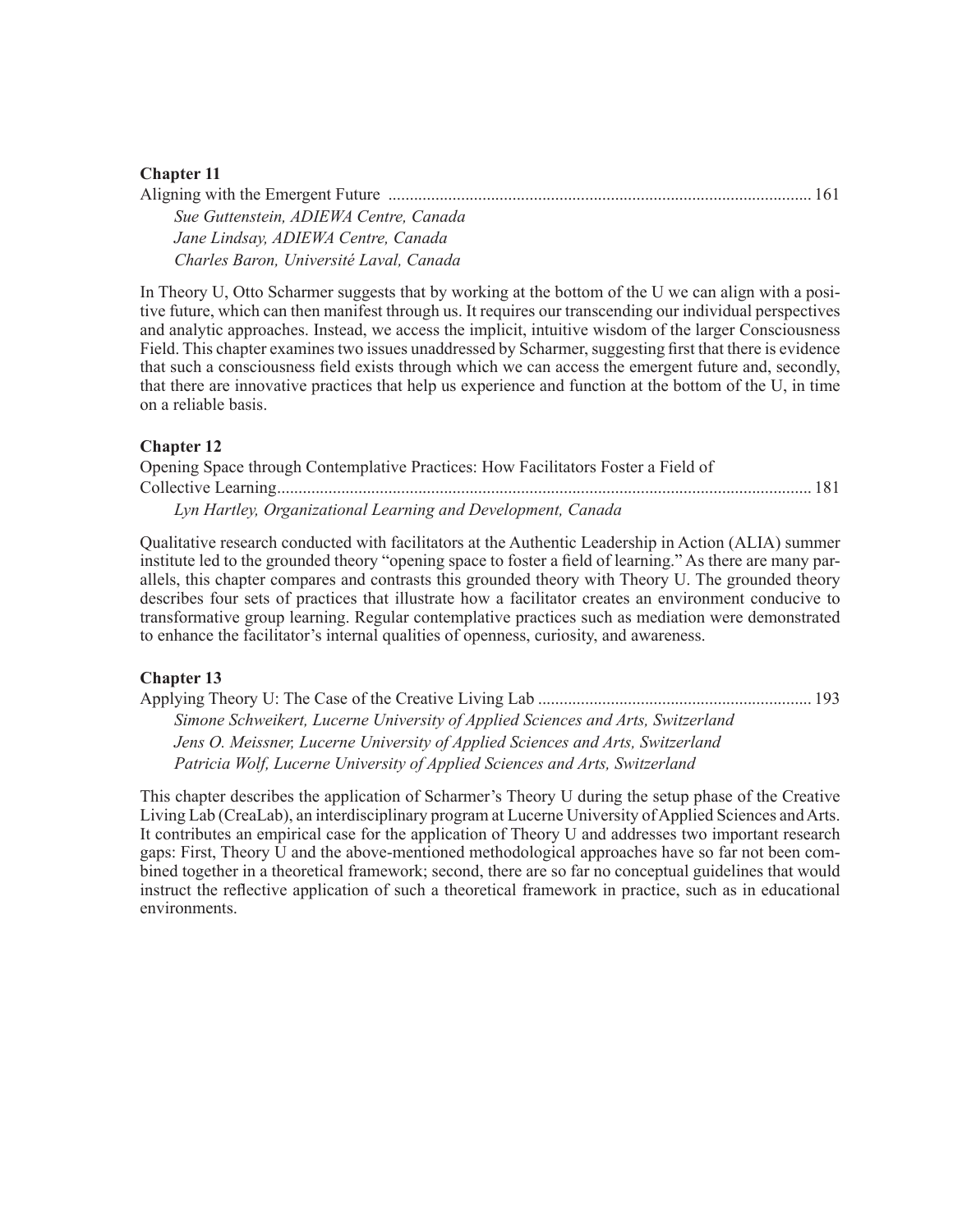| Sue Guttenstein, ADIEWA Centre, Canada  |  |
|-----------------------------------------|--|
| Jane Lindsay, ADIEWA Centre, Canada     |  |
| Charles Baron, Université Laval, Canada |  |

In Theory U, Otto [Scharmer](#page-0-0) suggests that by working at the bottom of the U we can align with a positive future, which can then manifest through us. It requires our [transcending](#page-0-0) our individual perspectives and analytic approaches. Instead, we access the implicit, intuitive wisdom of the larger [Consciousness](#page-0-0) Field. This chapter examines two issues unaddressed by Scharmer, suggesting first that there is evidence that such a [consciousness](#page-0-0) field exists through which we can access the emergent future and, secondly, that there are innovative practices that help us [experience](#page-0-0) and function at the bottom of the U, in time on a [reliable](#page-0-0) basis.

#### **[Chapter 12](#page-0-0)**

| Opening Space through Contemplative Practices: How Facilitators Foster a Field of |  |
|-----------------------------------------------------------------------------------|--|
|                                                                                   |  |
| Lyn Hartley, Organizational Learning and Development, Canada                      |  |

[Qualitative](#page-0-0) research conducted with facilitators at the Authentic Leadership in Action (ALIA) summer institute led to the grounded theory "opening space to foster a field of [learning."](#page-0-0) As there are many parallels, this chapter [compares](#page-0-0) and contrasts this grounded theory with Theory U. The grounded theory describes four sets of practices that illustrate how a facilitator creates an [environment](#page-0-0) conducive to [transformative](#page-0-0) group learning. Regular contemplative practices such as mediation were demonstrated to enhance the [facilitator's](#page-0-0) internal qualities of openness, curiosity, and awareness.

#### **[Chapter 13](#page-0-0)**

Applying Theory U: The Case of the Creative Living [Lab.................................................................](#page-0-0) 193 *[Simone Schweikert, Lucerne University of Applied Sciences and Arts, Switzerland](#page-0-0) [Jens O. Meissner, Lucerne University of Applied Sciences and Arts, Switzerland](#page-0-0) [Patricia Wolf, Lucerne University of Applied Sciences and Arts, Switzerland](#page-0-0)*

This chapter describes the application of [Scharmer's](#page-0-0) Theory U during the setup phase of the Creative Living Lab (CreaLab), an [interdisciplinary](#page-0-0) program at Lucerne University of Applied Sciences and Arts. It [contributes](#page-0-0) an empirical case for the application of Theory U and addresses two important research gaps: First, Theory U and the [above-mentioned](#page-0-0) methodological approaches have so far not been combined together in a theoretical [framework;](#page-0-0) second, there are so far no conceptual guidelines that would instruct the reflective application of such a theoretical framework in practice, such as in [educational](#page-0-0) [environments.](#page-0-0)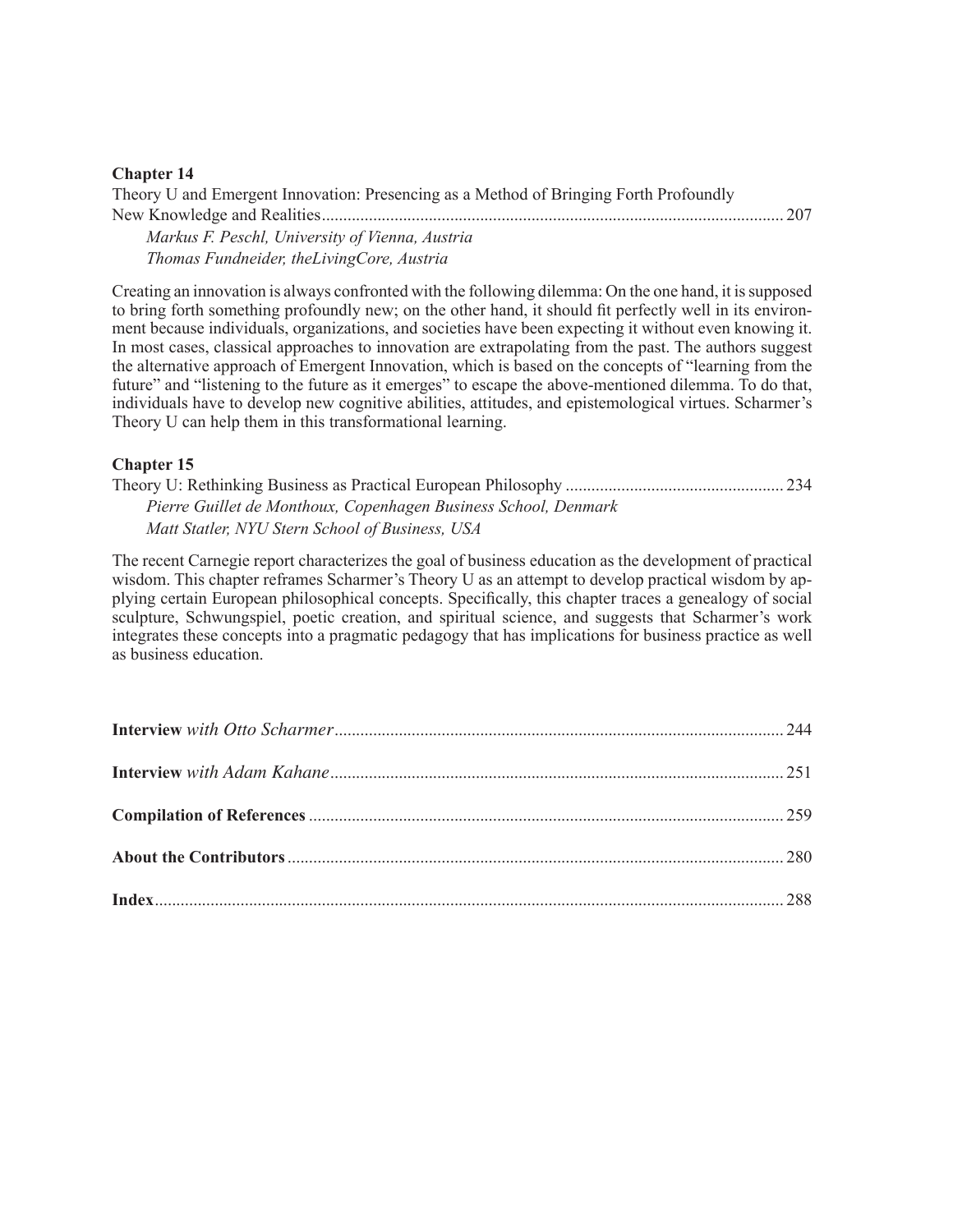| Theory U and Emergent Innovation: Presencing as a Method of Bringing Forth Profoundly |  |
|---------------------------------------------------------------------------------------|--|
|                                                                                       |  |

*[Markus F. Peschl, University of Vienna, Austria](#page-0-0) [Thomas Fundneider, theLivingCore, Austria](#page-0-0)*

Creating an innovation is always confronted with the following dilemma: On the one hand, it [issupposed](#page-0-0) to bring forth something [profoundly](#page-0-0) new; on the other hand, it should fit perfectly well in its environment because individuals, [organizations,](#page-0-0) and societies have been expecting it without even knowing it. In most cases, classical approaches to innovation are [extrapolating](#page-0-0) from the past. The authors suggest the alternative approach of Emergent [Innovation,](#page-0-0) which is based on the concepts of "learning from the future" and "listening to the future as it emerges" to escape the [above-mentioned](#page-0-0) dilemma. To do that, individuals have to develop new cognitive abilities, attitudes, and [epistemological](#page-0-0) virtues. Scharmer's Theory U can help them in this [transformational](#page-0-0) learning.

#### **[Chapter 15](#page-0-0)**

Theory U: Rethinking Business as Practical European [Philosophy....................................................](#page-0-0) 234 *[Pierre Guillet de Monthoux, Copenhagen Business School, Denmark](#page-0-0) [Matt Statler, NYU Stern School of Business, USA](#page-0-0)*

The recent Carnegie report [characterizes](#page-0-0) the goal of business education as the development of practical wisdom. This chapter reframes [Scharmer's](#page-0-0) Theory U as an attempt to develop practical wisdom by applying certain European [philosophical](#page-0-0) concepts. Specifically, this chapter traces a genealogy of social sculpture, [Schwungspiel,](#page-0-0) poetic creation, and spiritual science, and suggests that Scharmer's work integrates these concepts into a pragmatic pedagogy that has [implications](#page-0-0) for business practice as well as business [education.](#page-0-0)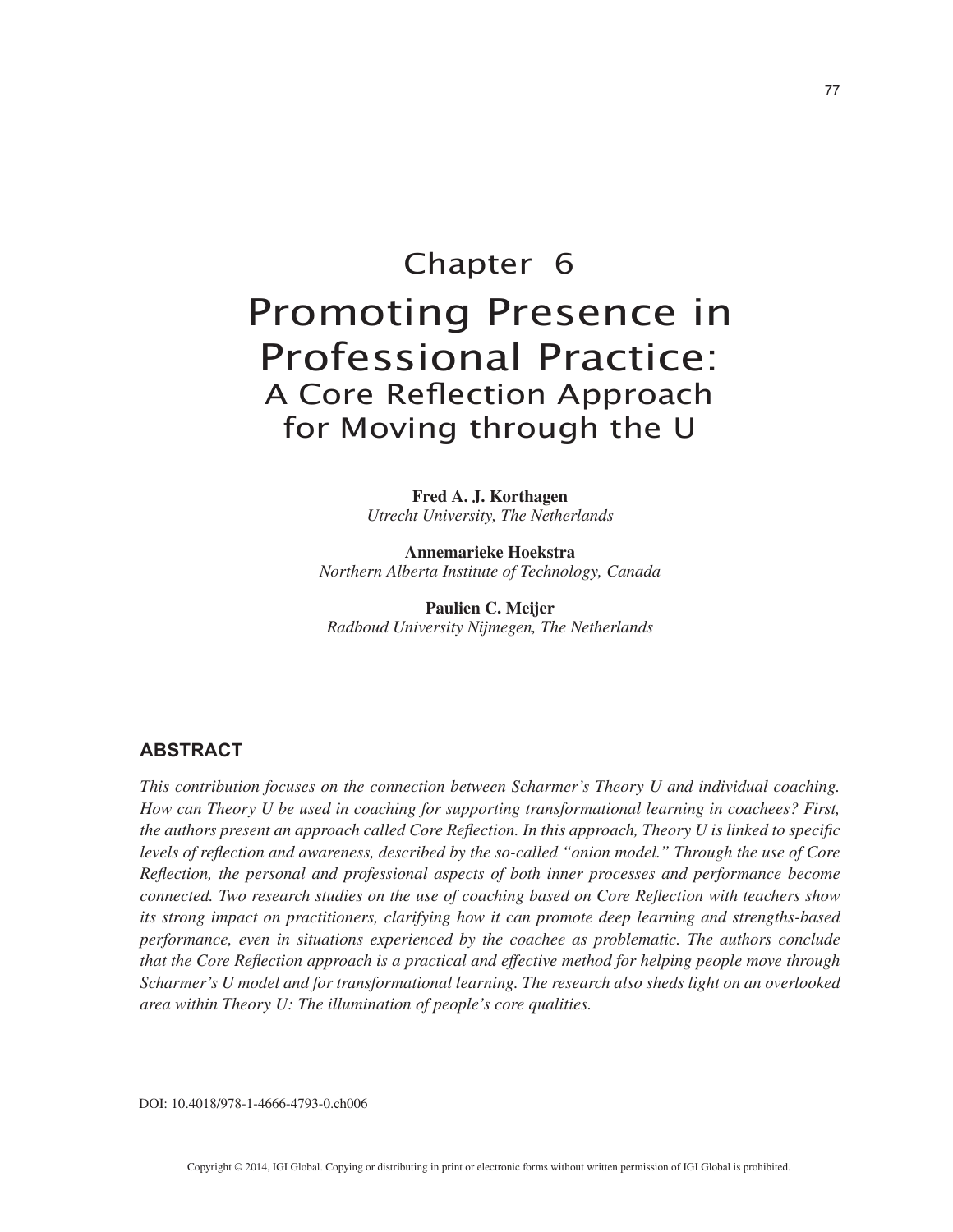## Chapter 6 Promoting Presence in Professional Practice: A Core Reflection Approach for Moving through the U

**Fred A. J. Korthagen** *Utrecht University, The Netherlands*

**Annemarieke Hoekstra** *Northern Alberta Institute of Technology, Canada*

**Paulien C. Meijer** *Radboud University Nijmegen, The Netherlands*

#### **ABSTRACT**

*This contribution focuses on the connection between Scharmer's Theory U and individual coaching. How can Theory U be used in coaching for supporting transformational learning in coachees? First, the authors present an approach called Core Reflection. In this approach, Theory U is linked to specific levels of reflection and awareness, described by the so-called "onion model." Through the use of Core Reflection, the personal and professional aspects of both inner processes and performance become connected. Two research studies on the use of coaching based on Core Reflection with teachers show its strong impact on practitioners, clarifying how it can promote deep learning and strengths-based performance, even in situations experienced by the coachee as problematic. The authors conclude that the Core Reflection approach is a practical and effective method for helping people move through Scharmer's U model and for transformational learning. The research also sheds light on an overlooked area within Theory U: The illumination of people's core qualities.*

DOI: 10.4018/978-1-4666-4793-0.ch006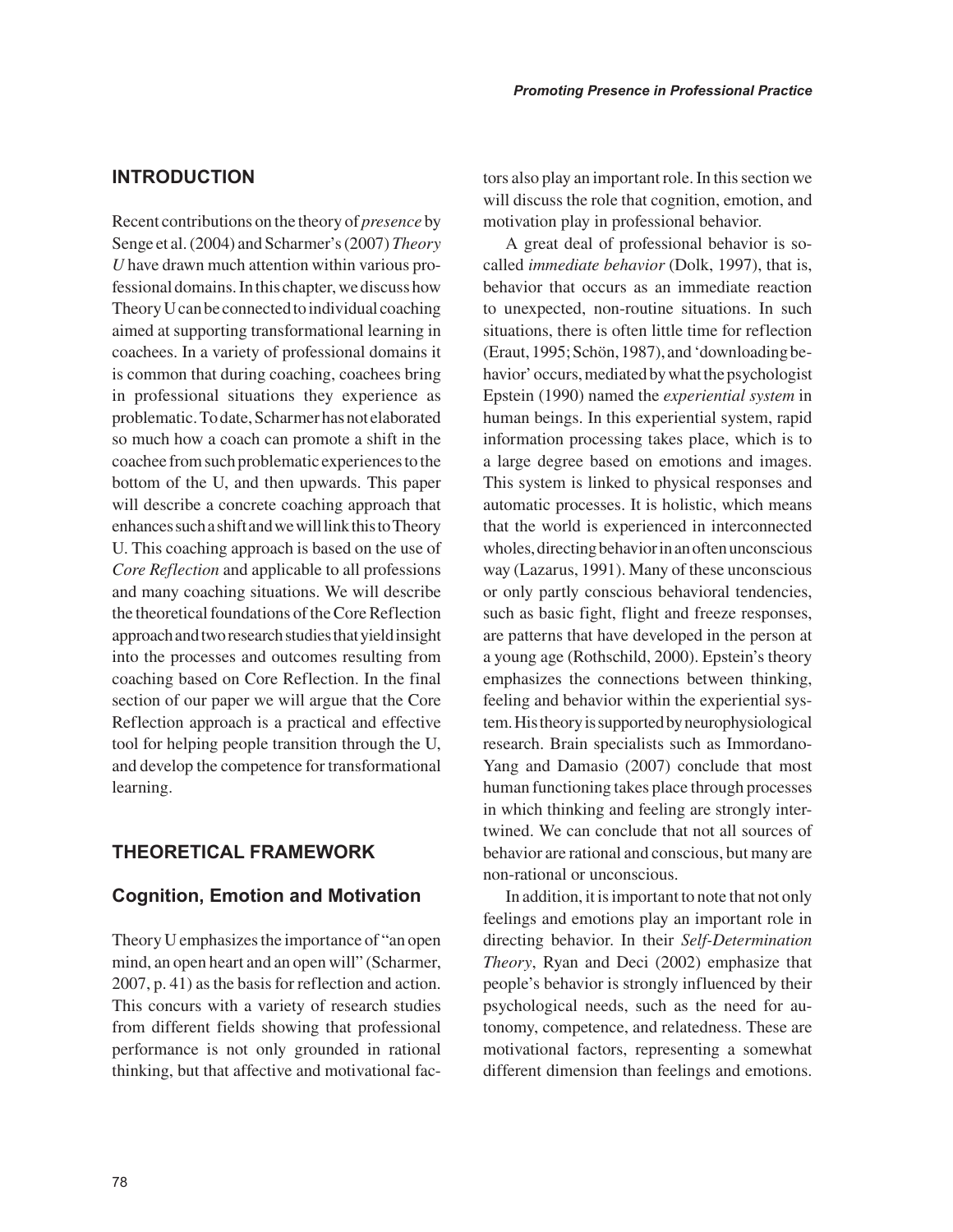#### **INTRODUCTION**

Recent contributions on the theory of *presence* by Senge et al. (2004) and Scharmer's (2007) *Theory U* have drawn much attention within various professional domains. In this chapter, we discuss how Theory U can be connected to individual coaching aimed at supporting transformational learning in coachees. In a variety of professional domains it is common that during coaching, coachees bring in professional situations they experience as problematic. To date, Scharmer has not elaborated so much how a coach can promote a shift in the coachee from such problematic experiences to the bottom of the U, and then upwards. This paper will describe a concrete coaching approach that enhances such a shift and we will link this to Theory U. This coaching approach is based on the use of *Core Reflection* and applicable to all professions and many coaching situations. We will describe the theoretical foundations of the Core Reflection approach and two research studies that yield insight into the processes and outcomes resulting from coaching based on Core Reflection. In the final section of our paper we will argue that the Core Reflection approach is a practical and effective tool for helping people transition through the U, and develop the competence for transformational learning.

#### **THEORETICAL FRAMEWORK**

#### **Cognition, Emotion and Motivation**

Theory U emphasizes the importance of "an open mind, an open heart and an open will" (Scharmer, 2007, p. 41) as the basis for reflection and action. This concurs with a variety of research studies from different fields showing that professional performance is not only grounded in rational thinking, but that affective and motivational factors also play an important role. In this section we will discuss the role that cognition, emotion, and motivation play in professional behavior.

A great deal of professional behavior is socalled *immediate behavior* (Dolk, 1997), that is, behavior that occurs as an immediate reaction to unexpected, non-routine situations. In such situations, there is often little time for reflection (Eraut, 1995; Schön, 1987), and 'downloading behavior' occurs, mediated by what the psychologist Epstein (1990) named the *experiential system* in human beings. In this experiential system, rapid information processing takes place, which is to a large degree based on emotions and images. This system is linked to physical responses and automatic processes. It is holistic, which means that the world is experienced in interconnected wholes, directing behavior in an often unconscious way (Lazarus, 1991). Many of these unconscious or only partly conscious behavioral tendencies, such as basic fight, flight and freeze responses, are patterns that have developed in the person at a young age (Rothschild, 2000). Epstein's theory emphasizes the connections between thinking, feeling and behavior within the experiential system. His theory is supported by neurophysiological research. Brain specialists such as Immordano-Yang and Damasio (2007) conclude that most human functioning takes place through processes in which thinking and feeling are strongly intertwined. We can conclude that not all sources of behavior are rational and conscious, but many are non-rational or unconscious.

In addition, it is important to note that not only feelings and emotions play an important role in directing behavior. In their *Self-Determination Theory*, Ryan and Deci (2002) emphasize that people's behavior is strongly influenced by their psychological needs, such as the need for autonomy, competence, and relatedness. These are motivational factors, representing a somewhat different dimension than feelings and emotions.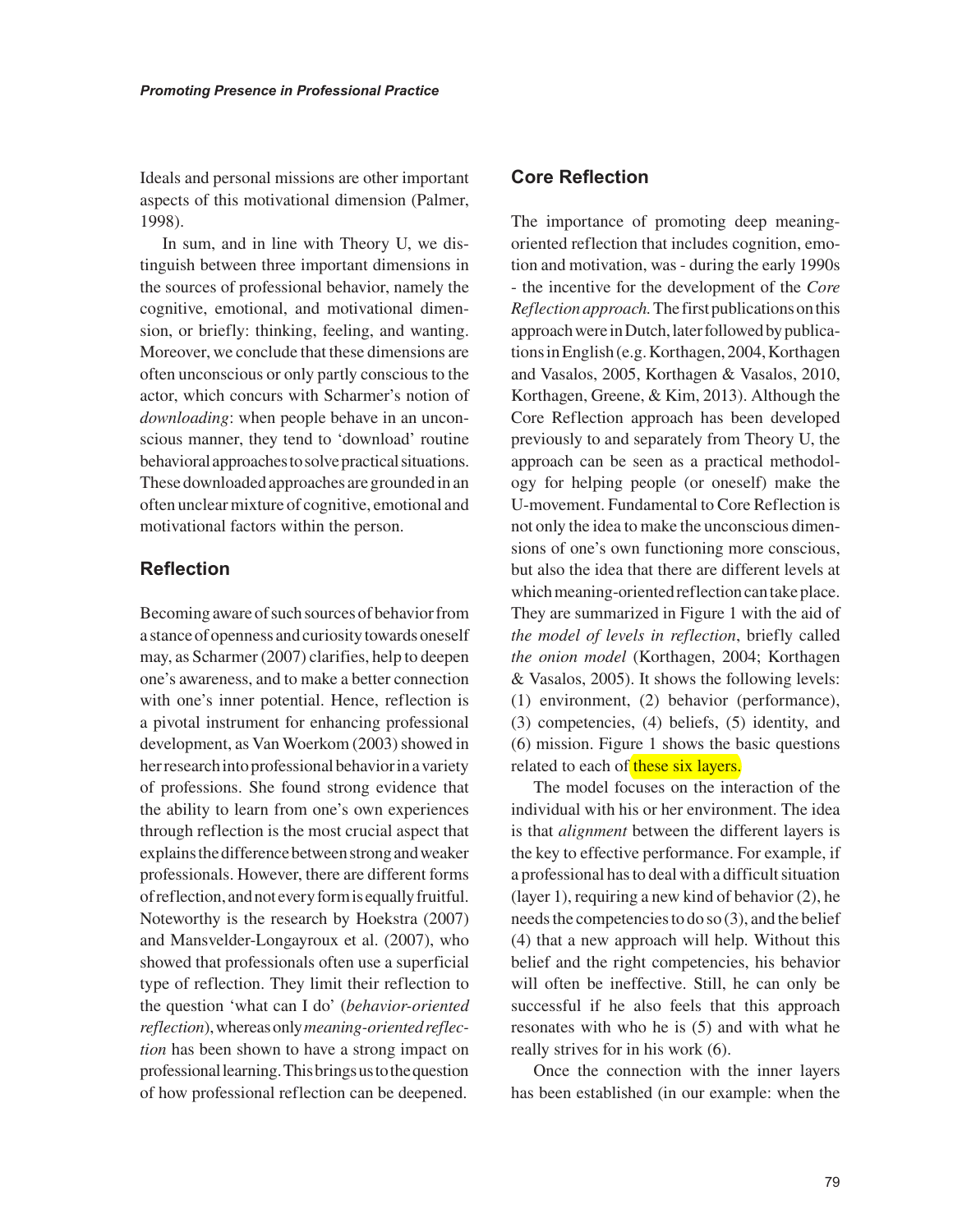Ideals and personal missions are other important aspects of this motivational dimension (Palmer, 1998).

In sum, and in line with Theory U, we distinguish between three important dimensions in the sources of professional behavior, namely the cognitive, emotional, and motivational dimension, or briefly: thinking, feeling, and wanting. Moreover, we conclude that these dimensions are often unconscious or only partly conscious to the actor, which concurs with Scharmer's notion of *downloading*: when people behave in an unconscious manner, they tend to 'download' routine behavioral approaches to solve practical situations. These downloaded approaches are grounded in an often unclear mixture of cognitive, emotional and motivational factors within the person.

#### **Reflection**

Becoming aware of such sources of behavior from a stance of openness and curiosity towards oneself may, as Scharmer (2007) clarifies, help to deepen one's awareness, and to make a better connection with one's inner potential. Hence, reflection is a pivotal instrument for enhancing professional development, as Van Woerkom (2003) showed in her research into professional behavior in a variety of professions. She found strong evidence that the ability to learn from one's own experiences through reflection is the most crucial aspect that explains the difference between strong and weaker professionals. However, there are different forms of reflection, and not every form is equally fruitful. Noteworthy is the research by Hoekstra (2007) and Mansvelder-Longayroux et al. (2007), who showed that professionals often use a superficial type of reflection. They limit their reflection to the question 'what can I do' (*behavior-oriented reflection*), whereas only *meaning-oriented reflection* has been shown to have a strong impact on professional learning. This brings us to the question of how professional reflection can be deepened.

#### **Core Reflection**

The importance of promoting deep meaningoriented reflection that includes cognition, emotion and motivation, was - during the early 1990s - the incentive for the development of the *Core Reflection approach.* The first publications on this approach were in Dutch, later followed by publications in English (e.g. Korthagen, 2004, Korthagen and Vasalos, 2005, Korthagen & Vasalos, 2010, Korthagen, Greene, & Kim, 2013). Although the Core Reflection approach has been developed previously to and separately from Theory U, the approach can be seen as a practical methodology for helping people (or oneself) make the U-movement. Fundamental to Core Reflection is not only the idea to make the unconscious dimensions of one's own functioning more conscious, but also the idea that there are different levels at which meaning-oriented reflection can take place. They are summarized in Figure 1 with the aid of *the model of levels in reflection*, briefly called *the onion model* (Korthagen, 2004; Korthagen & Vasalos, 2005). It shows the following levels: (1) environment, (2) behavior (performance), (3) competencies, (4) beliefs, (5) identity, and (6) mission. Figure 1 shows the basic questions related to each of these six layers.

The model focuses on the interaction of the individual with his or her environment. The idea is that *alignment* between the different layers is the key to effective performance. For example, if a professional has to deal with a difficult situation (layer 1), requiring a new kind of behavior (2), he needs the competencies to do so (3), and the belief (4) that a new approach will help. Without this belief and the right competencies, his behavior will often be ineffective. Still, he can only be successful if he also feels that this approach resonates with who he is (5) and with what he really strives for in his work (6).

Once the connection with the inner layers has been established (in our example: when the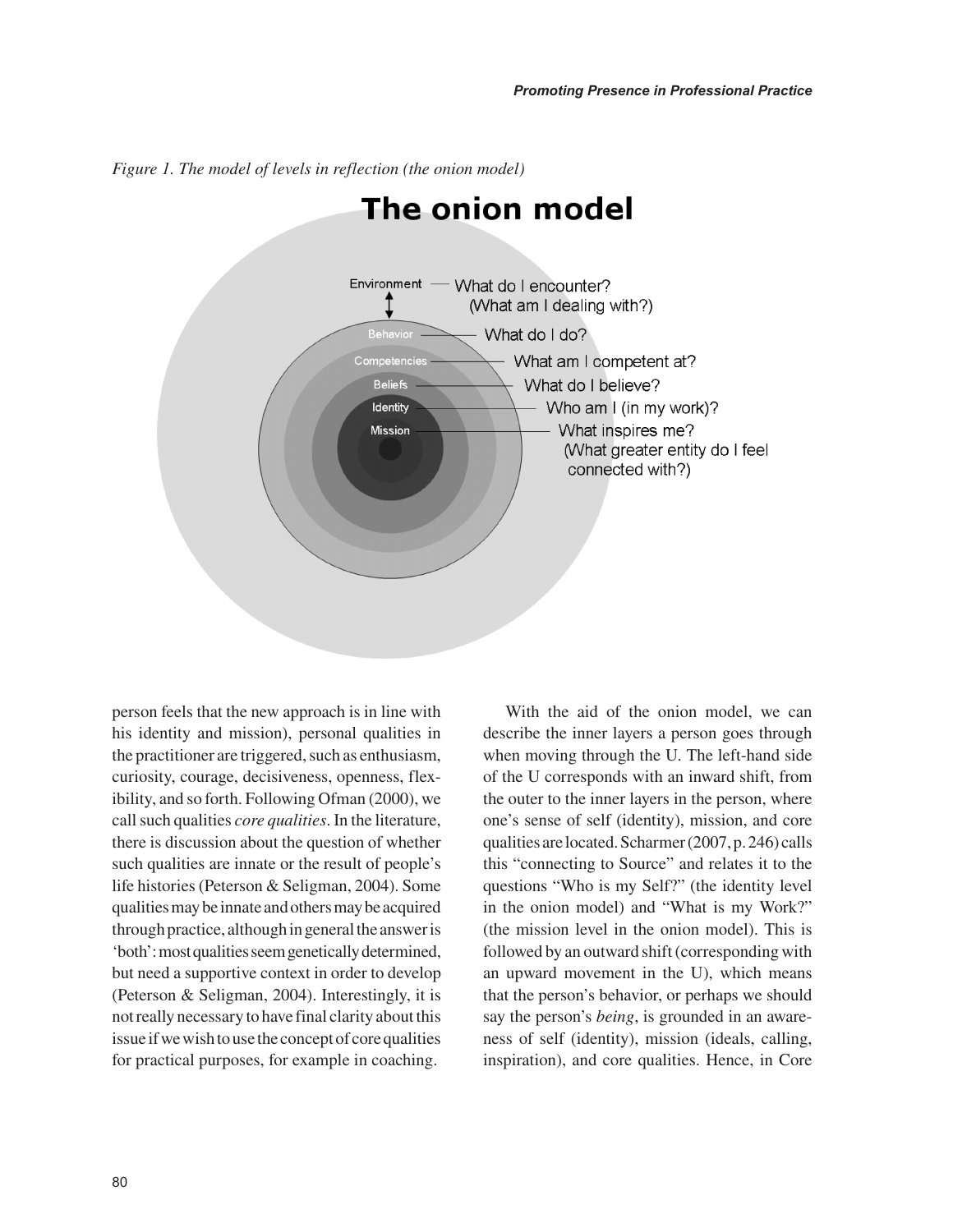

*Figure 1. The model of levels in reflection (the onion model)*

person feels that the new approach is in line with his identity and mission), personal qualities in the practitioner are triggered, such as enthusiasm, curiosity, courage, decisiveness, openness, flexibility, and so forth. Following Ofman (2000), we call such qualities *core qualities*. In the literature, there is discussion about the question of whether such qualities are innate or the result of people's life histories (Peterson & Seligman, 2004). Some qualities may be innate and others may be acquired through practice, although in general the answer is 'both': most qualities seem genetically determined, but need a supportive context in order to develop (Peterson & Seligman, 2004). Interestingly, it is not really necessary to have final clarity about this issue if we wish to use the concept of core qualities for practical purposes, for example in coaching.

With the aid of the onion model, we can describe the inner layers a person goes through when moving through the U. The left-hand side of the U corresponds with an inward shift, from the outer to the inner layers in the person, where one's sense of self (identity), mission, and core qualities are located. Scharmer (2007, p. 246) calls this "connecting to Source" and relates it to the questions "Who is my Self?" (the identity level in the onion model) and "What is my Work?" (the mission level in the onion model). This is followed by an outward shift (corresponding with an upward movement in the U), which means that the person's behavior, or perhaps we should say the person's *being*, is grounded in an awareness of self (identity), mission (ideals, calling, inspiration), and core qualities. Hence, in Core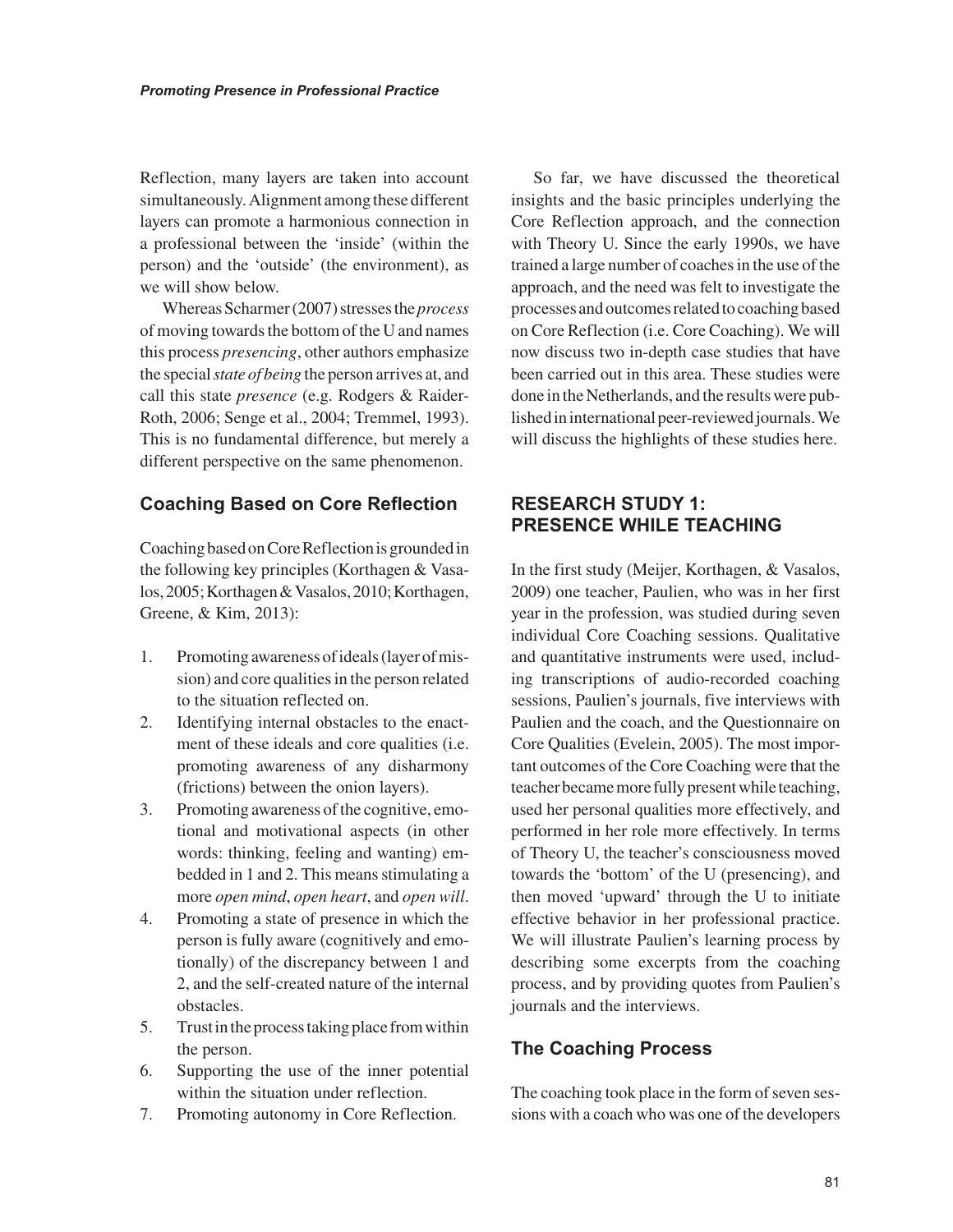Reflection, many layers are taken into account simultaneously. Alignment among these different layers can promote a harmonious connection in a professional between the 'inside' (within the person) and the 'outside' (the environment), as we will show below.

Whereas Scharmer (2007) stresses the *process* of moving towards the bottom of the U and names this process *presencing*, other authors emphasize the special *state of being* the person arrives at, and call this state *presence* (e.g. Rodgers & Raider-Roth, 2006; Senge et al., 2004; Tremmel, 1993). This is no fundamental difference, but merely a different perspective on the same phenomenon.

#### **Coaching Based on Core Reflection**

Coaching based on Core Reflection is grounded in the following key principles (Korthagen & Vasalos, 2005; Korthagen & Vasalos, 2010; Korthagen, Greene, & Kim, 2013):

- 1. Promoting awareness of ideals (layer of mission) and core qualities in the person related to the situation reflected on.
- 2. Identifying internal obstacles to the enactment of these ideals and core qualities (i.e. promoting awareness of any disharmony (frictions) between the onion layers).
- 3. Promoting awareness of the cognitive, emotional and motivational aspects (in other words: thinking, feeling and wanting) embedded in 1 and 2. This means stimulating a more *open mind*, *open heart*, and *open will*.
- 4. Promoting a state of presence in which the person is fully aware (cognitively and emotionally) of the discrepancy between 1 and 2, and the self-created nature of the internal obstacles.
- 5. Trust in the process taking place from within the person.
- 6. Supporting the use of the inner potential within the situation under reflection.
- 7. Promoting autonomy in Core Reflection.

So far, we have discussed the theoretical insights and the basic principles underlying the Core Reflection approach, and the connection with Theory U. Since the early 1990s, we have trained a large number of coaches in the use of the approach, and the need was felt to investigate the processes and outcomes related to coaching based on Core Reflection (i.e. Core Coaching). We will now discuss two in-depth case studies that have been carried out in this area. These studies were done in the Netherlands, and the results were published in international peer-reviewed journals. We will discuss the highlights of these studies here.

#### **RESEARCH STUDY 1: PRESENCE WHILE TEACHING**

In the first study (Meijer, Korthagen, & Vasalos, 2009) one teacher, Paulien, who was in her first year in the profession, was studied during seven individual Core Coaching sessions. Qualitative and quantitative instruments were used, including transcriptions of audio-recorded coaching sessions, Paulien's journals, five interviews with Paulien and the coach, and the Questionnaire on Core Qualities (Evelein, 2005). The most important outcomes of the Core Coaching were that the teacher became more fully present while teaching, used her personal qualities more effectively, and performed in her role more effectively. In terms of Theory U, the teacher's consciousness moved towards the 'bottom' of the U (presencing), and then moved 'upward' through the U to initiate effective behavior in her professional practice. We will illustrate Paulien's learning process by describing some excerpts from the coaching process, and by providing quotes from Paulien's journals and the interviews.

#### **The Coaching Process**

The coaching took place in the form of seven sessions with a coach who was one of the developers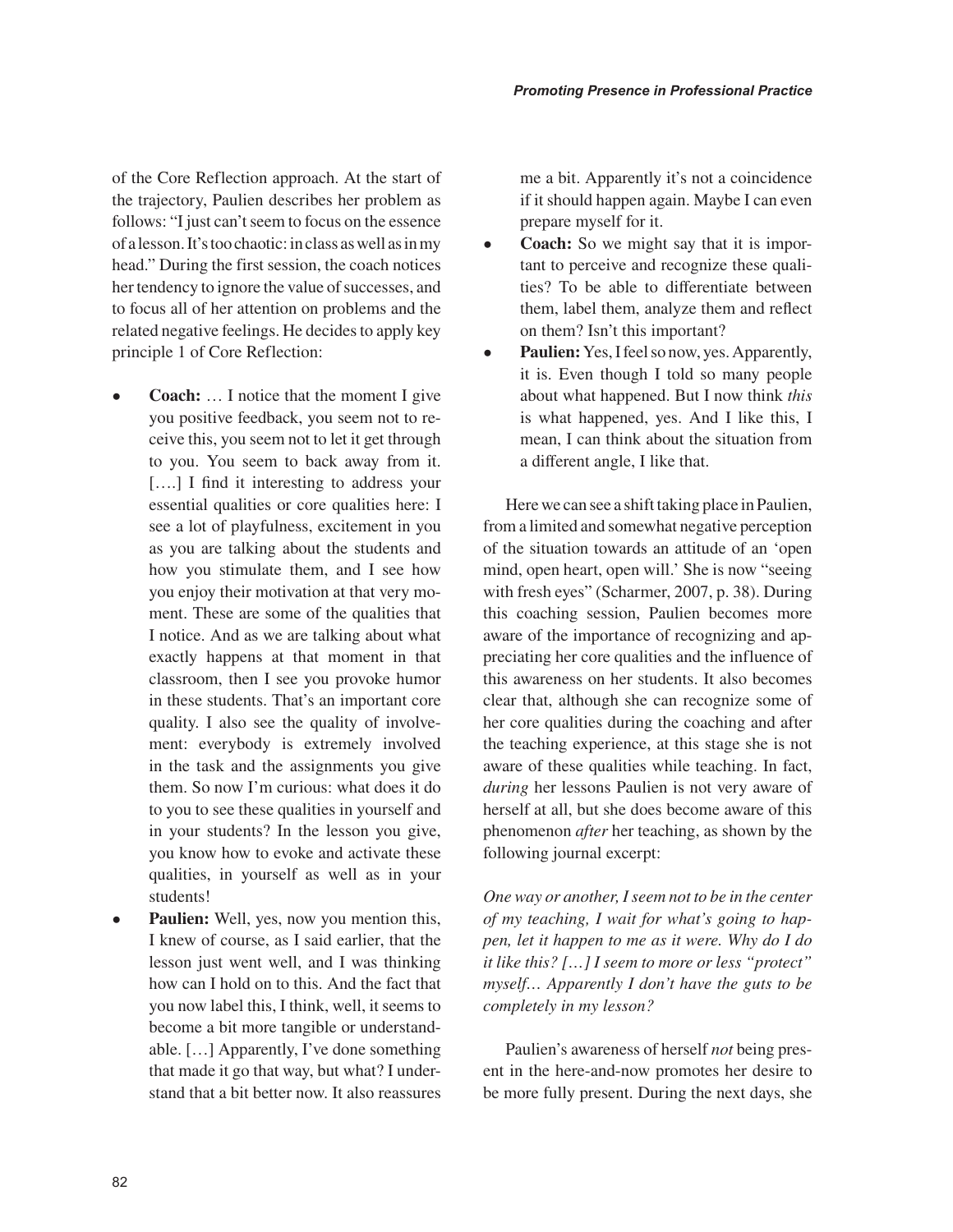of the Core Reflection approach. At the start of the trajectory, Paulien describes her problem as follows: "I just can't seem to focus on the essence of a lesson. It's too chaotic: in class as well as in my head." During the first session, the coach notices her tendency to ignore the value of successes, and to focus all of her attention on problems and the related negative feelings. He decides to apply key principle 1 of Core Reflection:

- **Coach:** ... I notice that the moment I give you positive feedback, you seem not to receive this, you seem not to let it get through to you. You seem to back away from it. [....] I find it interesting to address your essential qualities or core qualities here: I see a lot of playfulness, excitement in you as you are talking about the students and how you stimulate them, and I see how you enjoy their motivation at that very moment. These are some of the qualities that I notice. And as we are talking about what exactly happens at that moment in that classroom, then I see you provoke humor in these students. That's an important core quality. I also see the quality of involvement: everybody is extremely involved in the task and the assignments you give them. So now I'm curious: what does it do to you to see these qualities in yourself and in your students? In the lesson you give, you know how to evoke and activate these qualities, in yourself as well as in your students!
- **Paulien:** Well, yes, now you mention this, I knew of course, as I said earlier, that the lesson just went well, and I was thinking how can I hold on to this. And the fact that you now label this, I think, well, it seems to become a bit more tangible or understandable. […] Apparently, I've done something that made it go that way, but what? I understand that a bit better now. It also reassures

me a bit. Apparently it's not a coincidence if it should happen again. Maybe I can even prepare myself for it.

- **Coach:** So we might say that it is important to perceive and recognize these qualities? To be able to differentiate between them, label them, analyze them and reflect on them? Isn't this important?
- **Paulien:** Yes, I feel so now, yes. Apparently, it is. Even though I told so many people about what happened. But I now think *this* is what happened, yes. And I like this, I mean, I can think about the situation from a different angle, I like that.

Here we can see a shift taking place in Paulien, from a limited and somewhat negative perception of the situation towards an attitude of an 'open mind, open heart, open will.' She is now "seeing with fresh eyes" (Scharmer, 2007, p. 38). During this coaching session, Paulien becomes more aware of the importance of recognizing and appreciating her core qualities and the influence of this awareness on her students. It also becomes clear that, although she can recognize some of her core qualities during the coaching and after the teaching experience, at this stage she is not aware of these qualities while teaching. In fact, *during* her lessons Paulien is not very aware of herself at all, but she does become aware of this phenomenon *after* her teaching, as shown by the following journal excerpt:

*One way or another, I seem not to be in the center of my teaching, I wait for what's going to happen, let it happen to me as it were. Why do I do it like this? […] I seem to more or less "protect" myself… Apparently I don't have the guts to be completely in my lesson?*

Paulien's awareness of herself *not* being present in the here-and-now promotes her desire to be more fully present. During the next days, she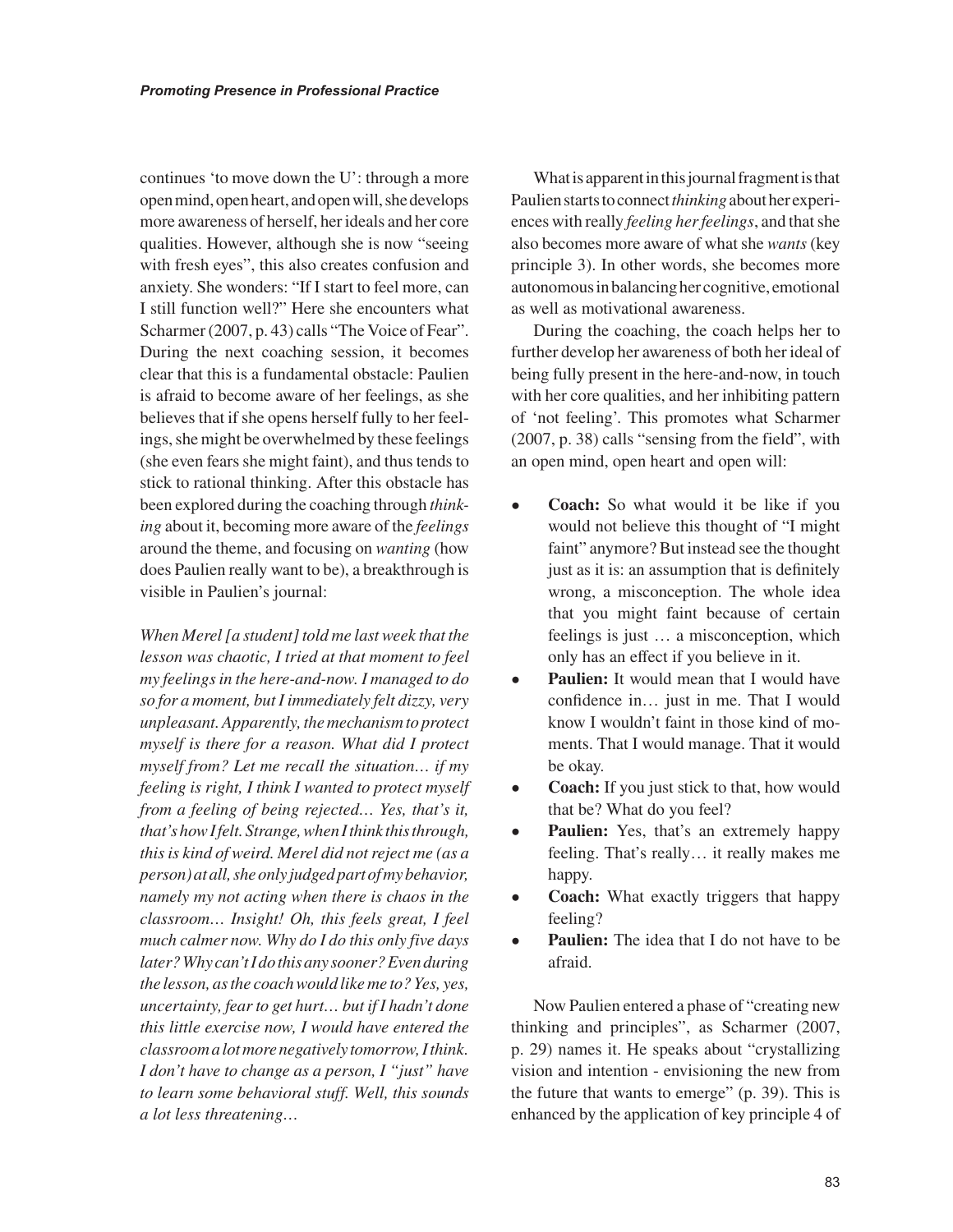continues 'to move down the U': through a more open mind, open heart, and open will, she develops more awareness of herself, her ideals and her core qualities. However, although she is now "seeing with fresh eyes", this also creates confusion and anxiety. She wonders: "If I start to feel more, can I still function well?" Here she encounters what Scharmer (2007, p. 43) calls "The Voice of Fear". During the next coaching session, it becomes clear that this is a fundamental obstacle: Paulien is afraid to become aware of her feelings, as she believes that if she opens herself fully to her feelings, she might be overwhelmed by these feelings (she even fears she might faint), and thus tends to stick to rational thinking. After this obstacle has been explored during the coaching through *thinking* about it, becoming more aware of the *feelings* around the theme, and focusing on *wanting* (how does Paulien really want to be), a breakthrough is visible in Paulien's journal:

*When Merel [a student] told me last week that the lesson was chaotic, I tried at that moment to feel my feelings in the here-and-now. I managed to do so for a moment, but I immediately felt dizzy, very unpleasant. Apparently, the mechanism to protect myself is there for a reason. What did I protect myself from? Let me recall the situation… if my feeling is right, I think I wanted to protect myself from a feeling of being rejected… Yes, that's it, that's how I felt. Strange, when I think this through, this is kind of weird. Merel did not reject me (as a person) at all, she only judged part of my behavior, namely my not acting when there is chaos in the classroom… Insight! Oh, this feels great, I feel much calmer now. Why do I do this only five days later? Why can't I do this any sooner? Even during the lesson, as the coach would like me to? Yes, yes, uncertainty, fear to get hurt… but if I hadn't done this little exercise now, I would have entered the classroom a lot more negatively tomorrow, I think. I don't have to change as a person, I "just" have to learn some behavioral stuff. Well, this sounds a lot less threatening…*

What is apparent in this journal fragment is that Paulien starts to connect *thinking* about her experiences with really *feeling her feelings*, and that she also becomes more aware of what she *wants* (key principle 3). In other words, she becomes more autonomous in balancing her cognitive, emotional as well as motivational awareness.

During the coaching, the coach helps her to further develop her awareness of both her ideal of being fully present in the here-and-now, in touch with her core qualities, and her inhibiting pattern of 'not feeling'. This promotes what Scharmer (2007, p. 38) calls "sensing from the field", with an open mind, open heart and open will:

- **Coach:** So what would it be like if you would not believe this thought of "I might faint" anymore? But instead see the thought just as it is: an assumption that is definitely wrong, a misconception. The whole idea that you might faint because of certain feelings is just … a misconception, which only has an effect if you believe in it.
- **Paulien:** It would mean that I would have confidence in… just in me. That I would know I wouldn't faint in those kind of moments. That I would manage. That it would be okay.
- **Coach:** If you just stick to that, how would that be? What do you feel?
- **Paulien:** Yes, that's an extremely happy feeling. That's really… it really makes me happy.
- **Coach:** What exactly triggers that happy feeling?
- **Paulien:** The idea that I do not have to be afraid.

Now Paulien entered a phase of "creating new thinking and principles", as Scharmer (2007, p. 29) names it. He speaks about "crystallizing vision and intention - envisioning the new from the future that wants to emerge" (p. 39). This is enhanced by the application of key principle 4 of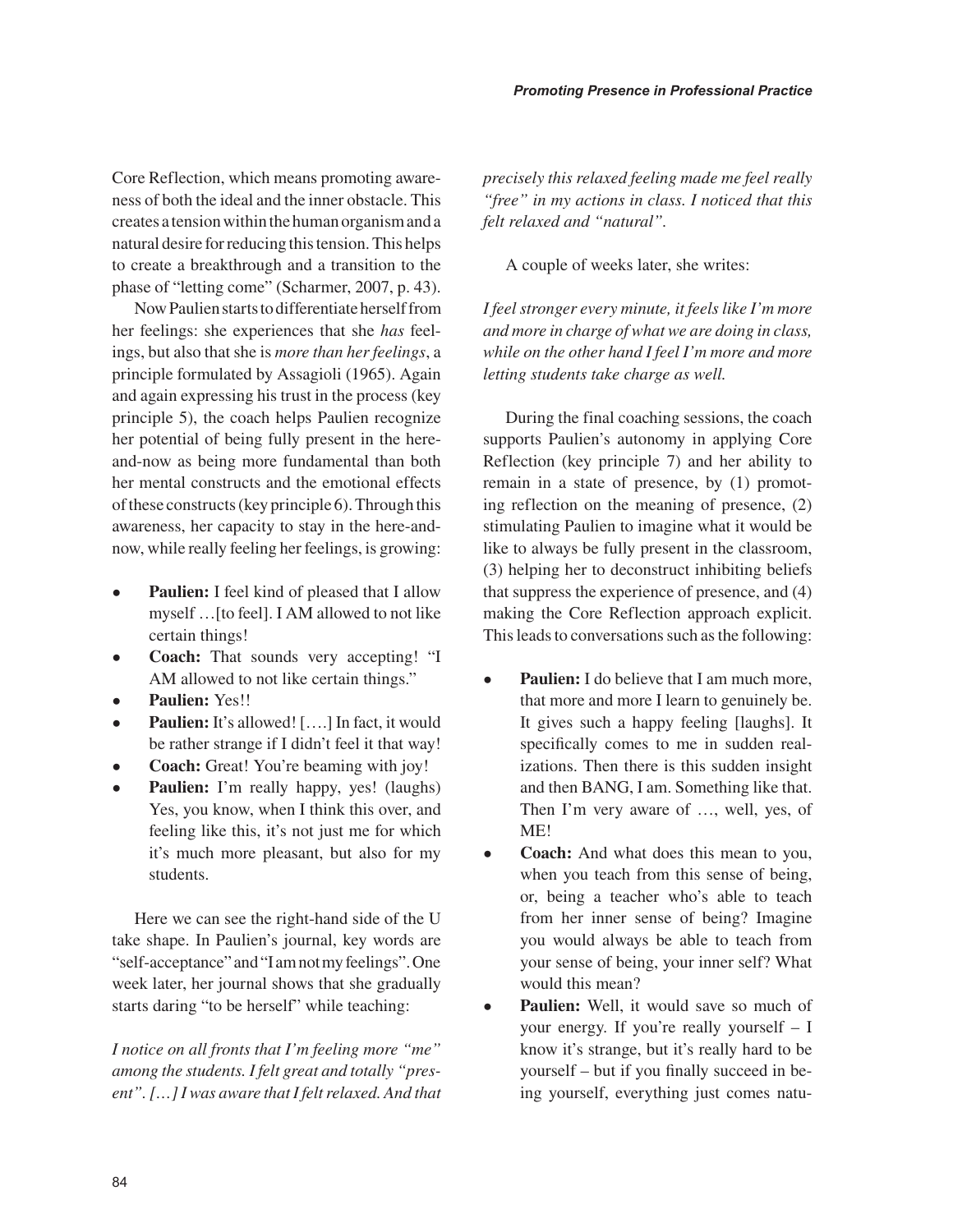Core Reflection, which means promoting awareness of both the ideal and the inner obstacle. This creates a tension within the human organism and a natural desire for reducing this tension. This helps to create a breakthrough and a transition to the phase of "letting come" (Scharmer, 2007, p. 43).

Now Paulien starts to differentiate herself from her feelings: she experiences that she *has* feelings, but also that she is *more than her feelings*, a principle formulated by Assagioli (1965). Again and again expressing his trust in the process (key principle 5), the coach helps Paulien recognize her potential of being fully present in the hereand-now as being more fundamental than both her mental constructs and the emotional effects of these constructs (key principle 6). Through this awareness, her capacity to stay in the here-andnow, while really feeling her feelings, is growing:

- **Paulien:** I feel kind of pleased that I allow myself …[to feel]. I AM allowed to not like certain things!
- **Coach:** That sounds very accepting! "I AM allowed to not like certain things."
- **Paulien:** Yes!!
- **Paulien:** It's allowed! [....] In fact, it would be rather strange if I didn't feel it that way!
- **Coach:** Great! You're beaming with joy!
- **Paulien:** I'm really happy, yes! (laughs) Yes, you know, when I think this over, and feeling like this, it's not just me for which it's much more pleasant, but also for my students.

Here we can see the right-hand side of the U take shape. In Paulien's journal, key words are "self-acceptance" and "I am not my feelings". One week later, her journal shows that she gradually starts daring "to be herself" while teaching:

*I notice on all fronts that I'm feeling more "me" among the students. I felt great and totally "present". […] I was aware that I felt relaxed. And that* 

*precisely this relaxed feeling made me feel really "free" in my actions in class. I noticed that this felt relaxed and "natural".*

A couple of weeks later, she writes:

*I feel stronger every minute, it feels like I'm more and more in charge of what we are doing in class, while on the other hand I feel I'm more and more letting students take charge as well.* 

During the final coaching sessions, the coach supports Paulien's autonomy in applying Core Reflection (key principle 7) and her ability to remain in a state of presence, by (1) promoting reflection on the meaning of presence, (2) stimulating Paulien to imagine what it would be like to always be fully present in the classroom, (3) helping her to deconstruct inhibiting beliefs that suppress the experience of presence, and (4) making the Core Reflection approach explicit. This leads to conversations such as the following:

- **Paulien:** I do believe that I am much more, that more and more I learn to genuinely be. It gives such a happy feeling [laughs]. It specifically comes to me in sudden realizations. Then there is this sudden insight and then BANG, I am. Something like that. Then I'm very aware of …, well, yes, of ME!
- **Coach:** And what does this mean to you, when you teach from this sense of being, or, being a teacher who's able to teach from her inner sense of being? Imagine you would always be able to teach from your sense of being, your inner self? What would this mean?
- **Paulien:** Well, it would save so much of your energy. If you're really yourself – I know it's strange, but it's really hard to be yourself – but if you finally succeed in being yourself, everything just comes natu-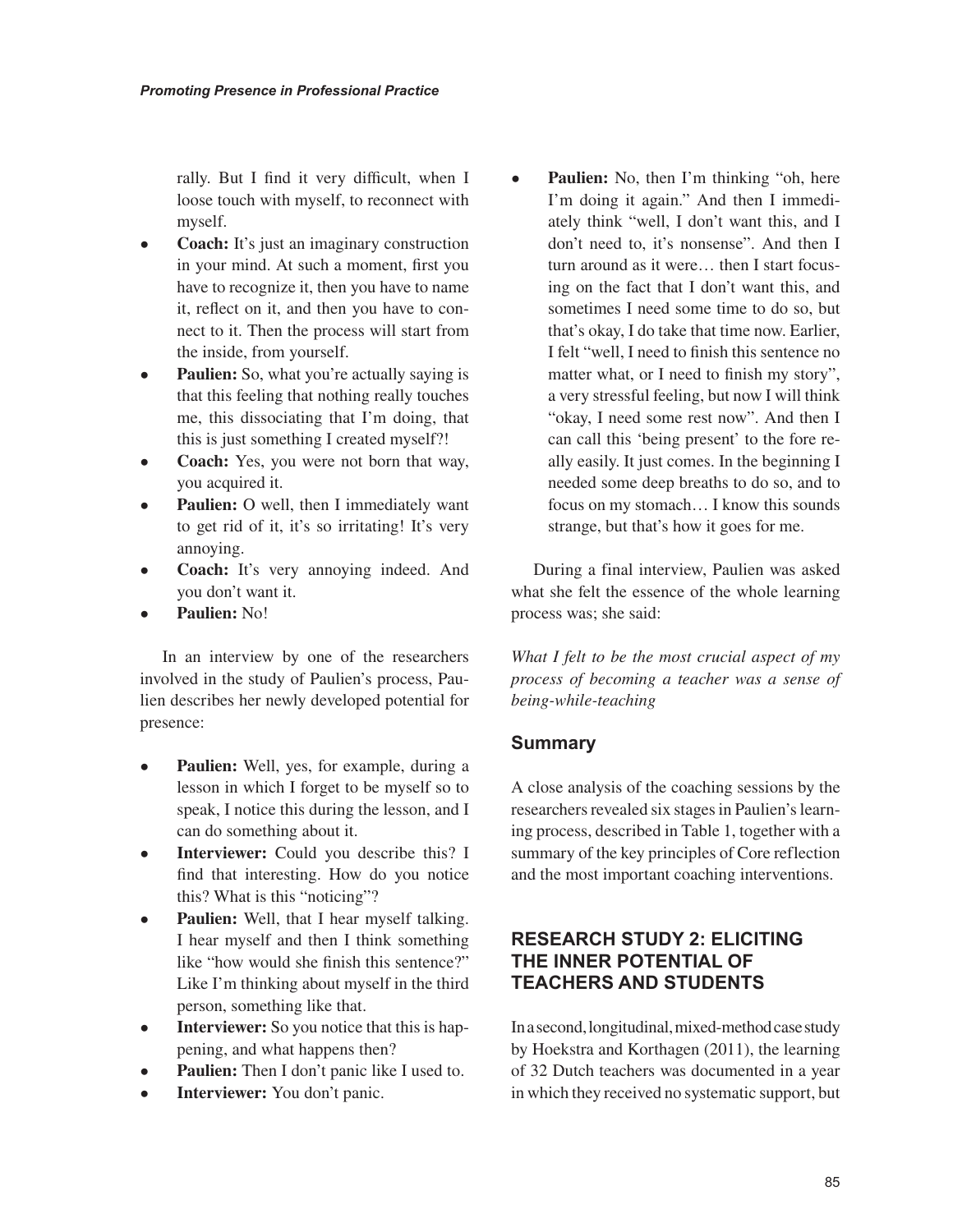rally. But I find it very difficult, when I loose touch with myself, to reconnect with myself.

- **Coach:** It's just an imaginary construction in your mind. At such a moment, first you have to recognize it, then you have to name it, reflect on it, and then you have to connect to it. Then the process will start from the inside, from yourself.
- **Paulien:** So, what you're actually saying is that this feeling that nothing really touches me, this dissociating that I'm doing, that this is just something I created myself?!
- **Coach:** Yes, you were not born that way, you acquired it.
- **Paulien:** O well, then I immediately want to get rid of it, it's so irritating! It's very annoying.
- **Coach:** It's very annoying indeed. And you don't want it.
- **Paulien:** No!

In an interview by one of the researchers involved in the study of Paulien's process, Paulien describes her newly developed potential for presence:

- **Paulien:** Well, yes, for example, during a lesson in which I forget to be myself so to speak, I notice this during the lesson, and I can do something about it.
- **Interviewer:** Could you describe this? I find that interesting. How do you notice this? What is this "noticing"?
- **Paulien:** Well, that I hear myself talking. I hear myself and then I think something like "how would she finish this sentence?" Like I'm thinking about myself in the third person, something like that.
- **Interviewer:** So you notice that this is happening, and what happens then?
- **Paulien:** Then I don't panic like I used to.
- **Interviewer:** You don't panic.

• **Paulien:** No, then I'm thinking "oh, here I'm doing it again." And then I immediately think "well, I don't want this, and I don't need to, it's nonsense". And then I turn around as it were… then I start focusing on the fact that I don't want this, and sometimes I need some time to do so, but that's okay, I do take that time now. Earlier, I felt "well, I need to finish this sentence no matter what, or I need to finish my story", a very stressful feeling, but now I will think "okay, I need some rest now". And then I can call this 'being present' to the fore really easily. It just comes. In the beginning I needed some deep breaths to do so, and to focus on my stomach… I know this sounds strange, but that's how it goes for me.

During a final interview, Paulien was asked what she felt the essence of the whole learning process was; she said:

*What I felt to be the most crucial aspect of my process of becoming a teacher was a sense of being-while-teaching*

#### **Summary**

A close analysis of the coaching sessions by the researchers revealed six stages in Paulien's learning process, described in Table 1, together with a summary of the key principles of Core reflection and the most important coaching interventions.

#### **RESEARCH STUDY 2: ELICITING THE INNER POTENTIAL OF TEACHERS AND STUDENTS**

In a second, longitudinal, mixed-method case study by Hoekstra and Korthagen (2011), the learning of 32 Dutch teachers was documented in a year in which they received no systematic support, but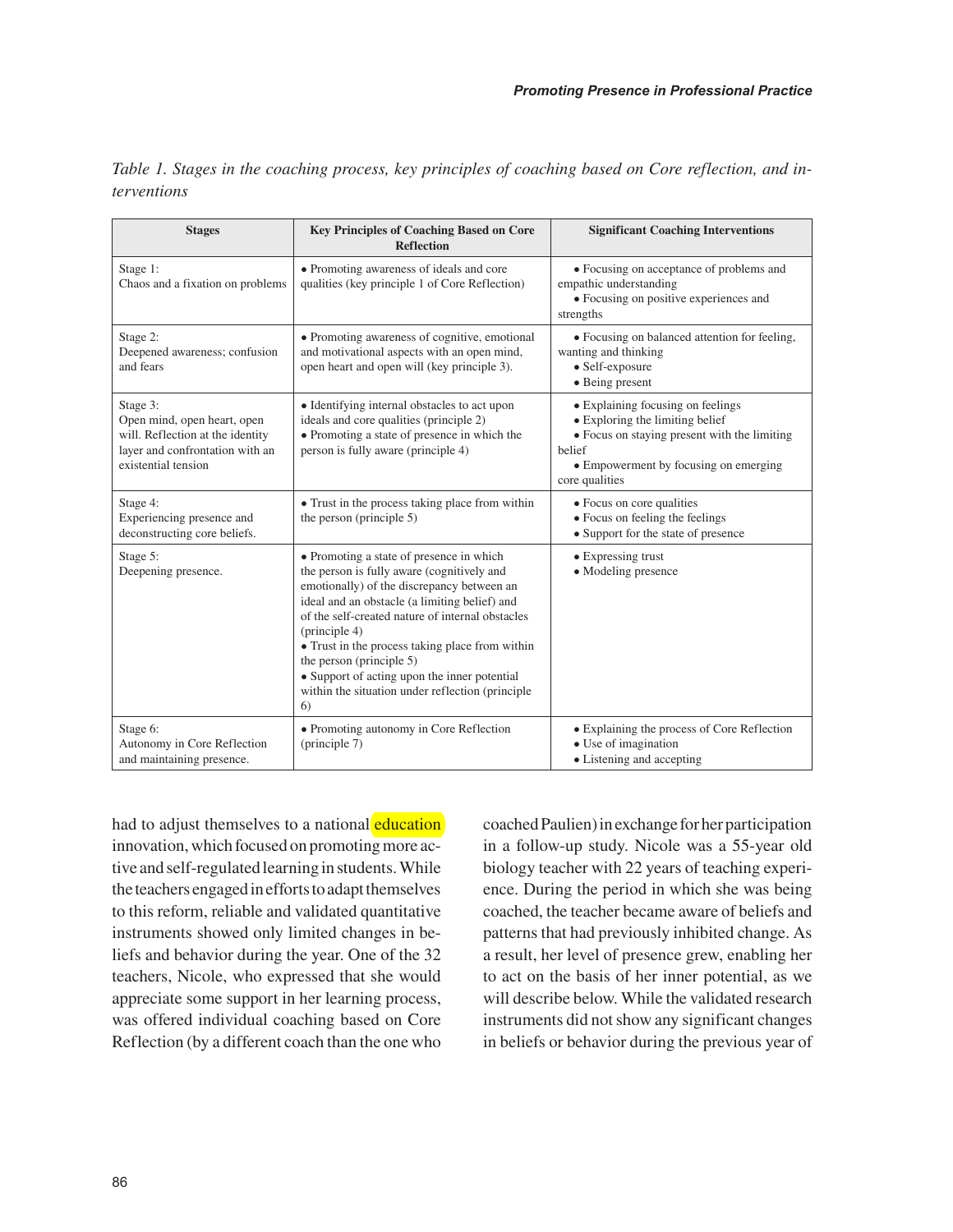|                    |  |  |  |  |  | Table 1. Stages in the coaching process, key principles of coaching based on Core reflection, and in- |  |
|--------------------|--|--|--|--|--|-------------------------------------------------------------------------------------------------------|--|
| <i>terventions</i> |  |  |  |  |  |                                                                                                       |  |

| <b>Stages</b>                                                                                                                         | <b>Key Principles of Coaching Based on Core</b><br><b>Reflection</b>                                                                                                                                                                                                                                                                                                                                                                                 | <b>Significant Coaching Interventions</b>                                                                                                                                                 |  |  |  |  |
|---------------------------------------------------------------------------------------------------------------------------------------|------------------------------------------------------------------------------------------------------------------------------------------------------------------------------------------------------------------------------------------------------------------------------------------------------------------------------------------------------------------------------------------------------------------------------------------------------|-------------------------------------------------------------------------------------------------------------------------------------------------------------------------------------------|--|--|--|--|
| Stage 1:<br>Chaos and a fixation on problems                                                                                          | • Promoting awareness of ideals and core<br>qualities (key principle 1 of Core Reflection)                                                                                                                                                                                                                                                                                                                                                           | • Focusing on acceptance of problems and<br>empathic understanding<br>· Focusing on positive experiences and<br>strengths                                                                 |  |  |  |  |
| Stage 2:<br>Deepened awareness; confusion<br>and fears                                                                                | • Promoting awareness of cognitive, emotional<br>and motivational aspects with an open mind,<br>open heart and open will (key principle 3).                                                                                                                                                                                                                                                                                                          | • Focusing on balanced attention for feeling,<br>wanting and thinking<br>• Self-exposure<br>• Being present                                                                               |  |  |  |  |
| Stage 3:<br>Open mind, open heart, open<br>will. Reflection at the identity<br>layer and confrontation with an<br>existential tension | • Identifying internal obstacles to act upon<br>ideals and core qualities (principle 2)<br>• Promoting a state of presence in which the<br>person is fully aware (principle 4)                                                                                                                                                                                                                                                                       | • Explaining focusing on feelings<br>• Exploring the limiting belief<br>• Focus on staying present with the limiting<br>belief<br>• Empowerment by focusing on emerging<br>core qualities |  |  |  |  |
| Stage 4:<br>Experiencing presence and<br>deconstructing core beliefs.                                                                 | • Trust in the process taking place from within<br>the person (principle 5)                                                                                                                                                                                                                                                                                                                                                                          | • Focus on core qualities<br>• Focus on feeling the feelings<br>• Support for the state of presence                                                                                       |  |  |  |  |
| Stage 5:<br>Deepening presence.                                                                                                       | • Promoting a state of presence in which<br>the person is fully aware (cognitively and<br>emotionally) of the discrepancy between an<br>ideal and an obstacle (a limiting belief) and<br>of the self-created nature of internal obstacles<br>(principle 4)<br>• Trust in the process taking place from within<br>the person (principle 5)<br>• Support of acting upon the inner potential<br>within the situation under reflection (principle)<br>6) | • Expressing trust<br>• Modeling presence                                                                                                                                                 |  |  |  |  |
| Stage 6:<br>Autonomy in Core Reflection<br>and maintaining presence.                                                                  | • Promoting autonomy in Core Reflection<br>$(\text{principle } 7)$                                                                                                                                                                                                                                                                                                                                                                                   | • Explaining the process of Core Reflection<br>• Use of imagination<br>• Listening and accepting                                                                                          |  |  |  |  |

had to adjust themselves to a national education innovation, which focused on promoting more active and self-regulated learning in students. While the teachers engaged in efforts to adapt themselves to this reform, reliable and validated quantitative instruments showed only limited changes in beliefs and behavior during the year. One of the 32 teachers, Nicole, who expressed that she would appreciate some support in her learning process, was offered individual coaching based on Core Reflection (by a different coach than the one who

coached Paulien) in exchange for her participation in a follow-up study. Nicole was a 55-year old biology teacher with 22 years of teaching experience. During the period in which she was being coached, the teacher became aware of beliefs and patterns that had previously inhibited change. As a result, her level of presence grew, enabling her to act on the basis of her inner potential, as we will describe below. While the validated research instruments did not show any significant changes in beliefs or behavior during the previous year of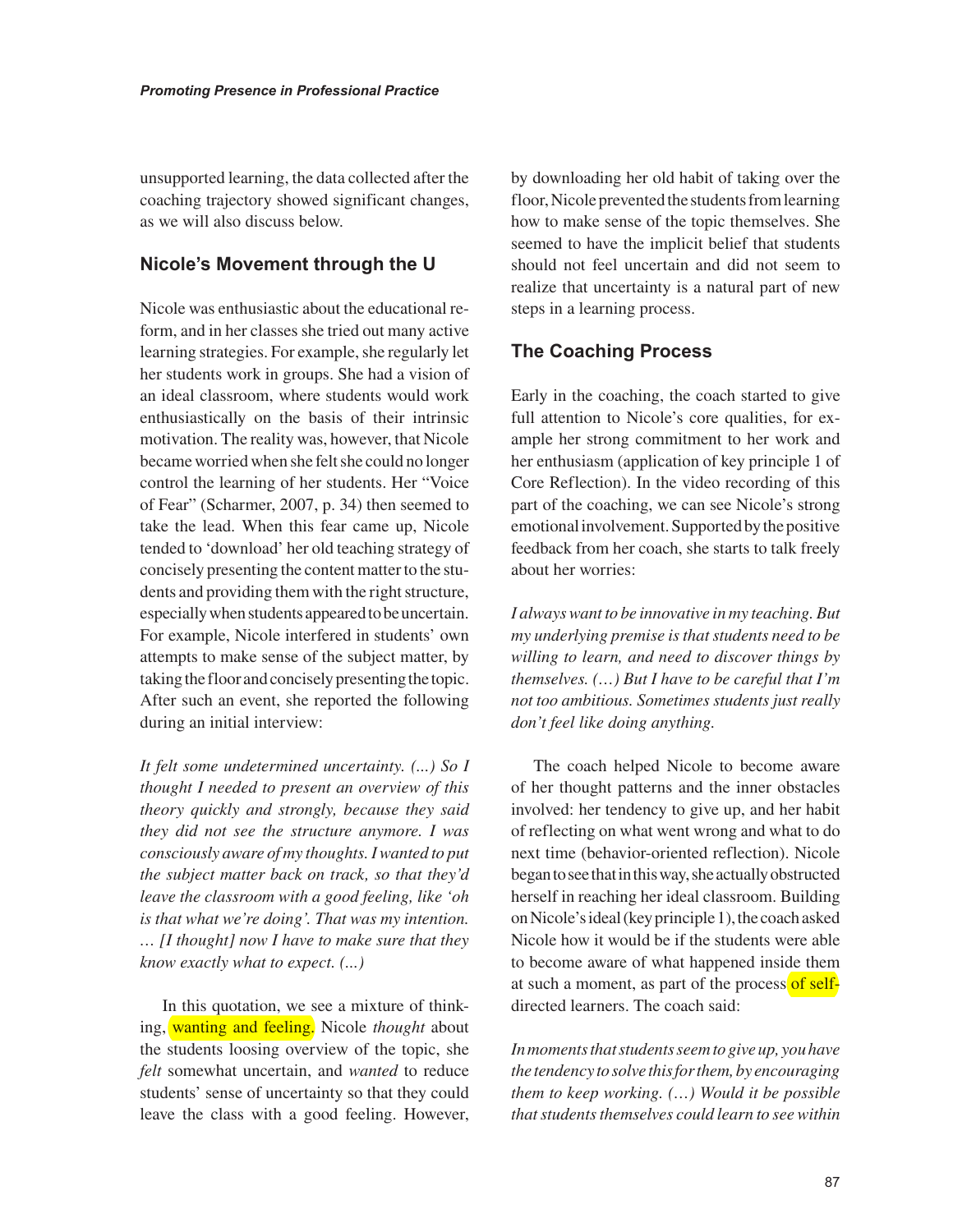unsupported learning, the data collected after the coaching trajectory showed significant changes, as we will also discuss below.

#### **Nicole's Movement through the U**

Nicole was enthusiastic about the educational reform, and in her classes she tried out many active learning strategies. For example, she regularly let her students work in groups. She had a vision of an ideal classroom, where students would work enthusiastically on the basis of their intrinsic motivation. The reality was, however, that Nicole became worried when she felt she could no longer control the learning of her students. Her "Voice of Fear" (Scharmer, 2007, p. 34) then seemed to take the lead. When this fear came up, Nicole tended to 'download' her old teaching strategy of concisely presenting the content matter to the students and providing them with the right structure, especially when students appeared to be uncertain. For example, Nicole interfered in students' own attempts to make sense of the subject matter, by taking the floor and concisely presenting the topic. After such an event, she reported the following during an initial interview:

*It felt some undetermined uncertainty. (...) So I thought I needed to present an overview of this theory quickly and strongly, because they said they did not see the structure anymore. I was consciously aware of my thoughts. I wanted to put the subject matter back on track, so that they'd leave the classroom with a good feeling, like 'oh is that what we're doing'. That was my intention. … [I thought] now I have to make sure that they know exactly what to expect. (...)* 

In this quotation, we see a mixture of thinking, wanting and feeling. Nicole *thought* about the students loosing overview of the topic, she *felt* somewhat uncertain, and *wanted* to reduce students' sense of uncertainty so that they could leave the class with a good feeling. However,

by downloading her old habit of taking over the floor, Nicole prevented the students from learning how to make sense of the topic themselves. She seemed to have the implicit belief that students should not feel uncertain and did not seem to realize that uncertainty is a natural part of new steps in a learning process.

#### **The Coaching Process**

Early in the coaching, the coach started to give full attention to Nicole's core qualities, for example her strong commitment to her work and her enthusiasm (application of key principle 1 of Core Reflection). In the video recording of this part of the coaching, we can see Nicole's strong emotional involvement. Supported by the positive feedback from her coach, she starts to talk freely about her worries:

*I always want to be innovative in my teaching. But my underlying premise is that students need to be willing to learn, and need to discover things by themselves. (…) But I have to be careful that I'm not too ambitious. Sometimes students just really don't feel like doing anything.* 

The coach helped Nicole to become aware of her thought patterns and the inner obstacles involved: her tendency to give up, and her habit of reflecting on what went wrong and what to do next time (behavior-oriented reflection). Nicole began to see that in this way, she actually obstructed herself in reaching her ideal classroom. Building on Nicole's ideal (key principle 1), the coach asked Nicole how it would be if the students were able to become aware of what happened inside them at such a moment, as part of the process of selfdirected learners. The coach said:

*In moments that students seem to give up, you have the tendency to solve this for them, by encouraging them to keep working. (…) Would it be possible that students themselves could learn to see within*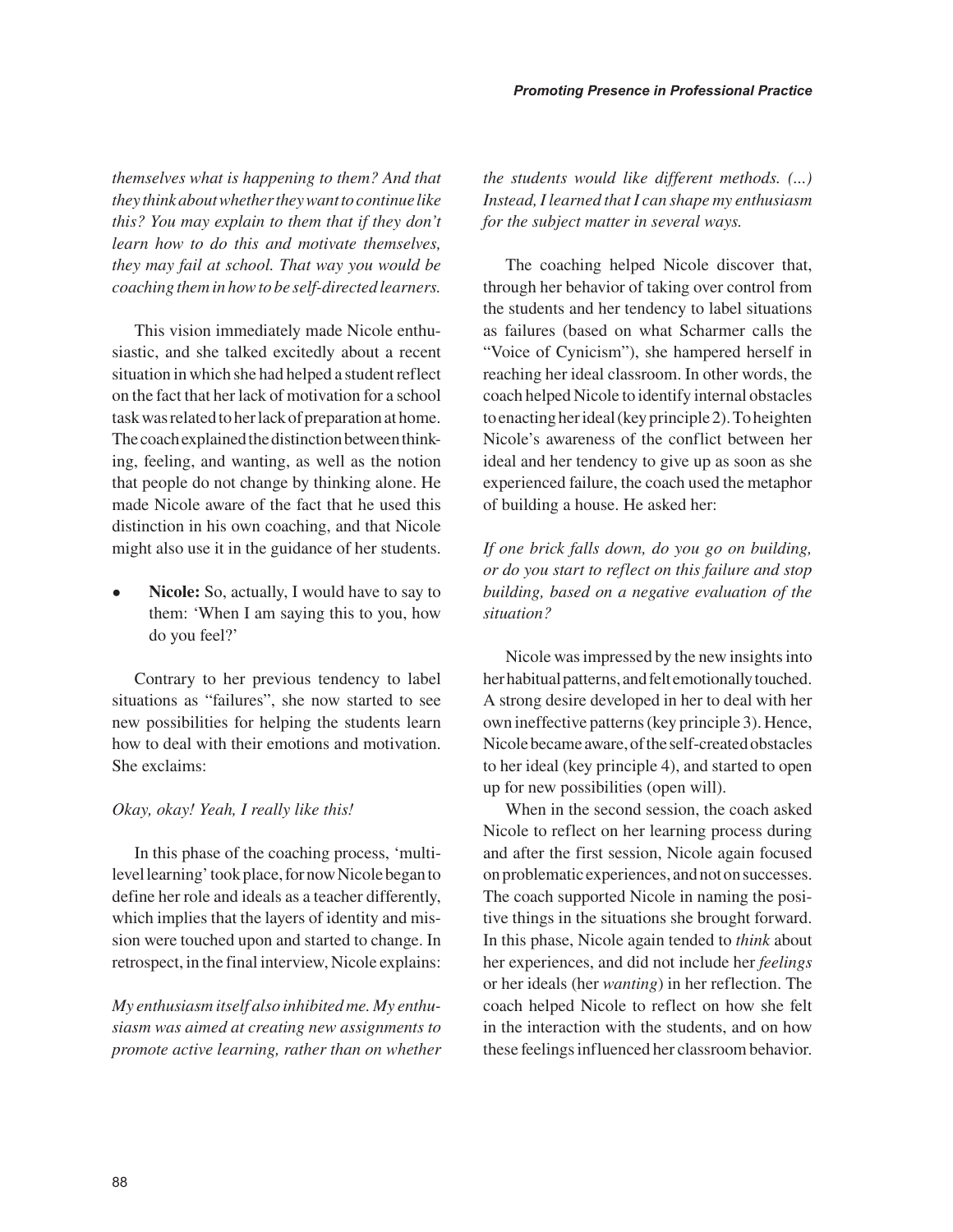*themselves what is happening to them? And that they think about whether they want to continue like this? You may explain to them that if they don't learn how to do this and motivate themselves, they may fail at school. That way you would be coaching them in how to be self-directed learners.* 

This vision immediately made Nicole enthusiastic, and she talked excitedly about a recent situation in which she had helped a student reflect on the fact that her lack of motivation for a school task was related to her lack of preparation at home. The coach explained the distinction between thinking, feeling, and wanting, as well as the notion that people do not change by thinking alone. He made Nicole aware of the fact that he used this distinction in his own coaching, and that Nicole might also use it in the guidance of her students.

• **Nicole:** So, actually, I would have to say to them: 'When I am saying this to you, how do you feel?'

Contrary to her previous tendency to label situations as "failures", she now started to see new possibilities for helping the students learn how to deal with their emotions and motivation. She exclaims:

#### *Okay, okay! Yeah, I really like this!*

In this phase of the coaching process, 'multilevel learning' took place, for now Nicole began to define her role and ideals as a teacher differently, which implies that the layers of identity and mission were touched upon and started to change. In retrospect, in the final interview, Nicole explains:

*My enthusiasm itself also inhibited me. My enthusiasm was aimed at creating new assignments to promote active learning, rather than on whether* 

*the students would like different methods. (...) Instead, I learned that I can shape my enthusiasm for the subject matter in several ways.*

The coaching helped Nicole discover that, through her behavior of taking over control from the students and her tendency to label situations as failures (based on what Scharmer calls the "Voice of Cynicism"), she hampered herself in reaching her ideal classroom. In other words, the coach helped Nicole to identify internal obstacles to enacting her ideal (key principle 2). To heighten Nicole's awareness of the conflict between her ideal and her tendency to give up as soon as she experienced failure, the coach used the metaphor of building a house. He asked her:

*If one brick falls down, do you go on building, or do you start to reflect on this failure and stop building, based on a negative evaluation of the situation?* 

Nicole was impressed by the new insights into her habitual patterns, and felt emotionally touched. A strong desire developed in her to deal with her own ineffective patterns (key principle 3). Hence, Nicole became aware, of the self-created obstacles to her ideal (key principle 4), and started to open up for new possibilities (open will).

When in the second session, the coach asked Nicole to reflect on her learning process during and after the first session, Nicole again focused on problematic experiences, and not on successes. The coach supported Nicole in naming the positive things in the situations she brought forward. In this phase, Nicole again tended to *think* about her experiences, and did not include her *feelings* or her ideals (her *wanting*) in her reflection. The coach helped Nicole to reflect on how she felt in the interaction with the students, and on how these feelings influenced her classroom behavior.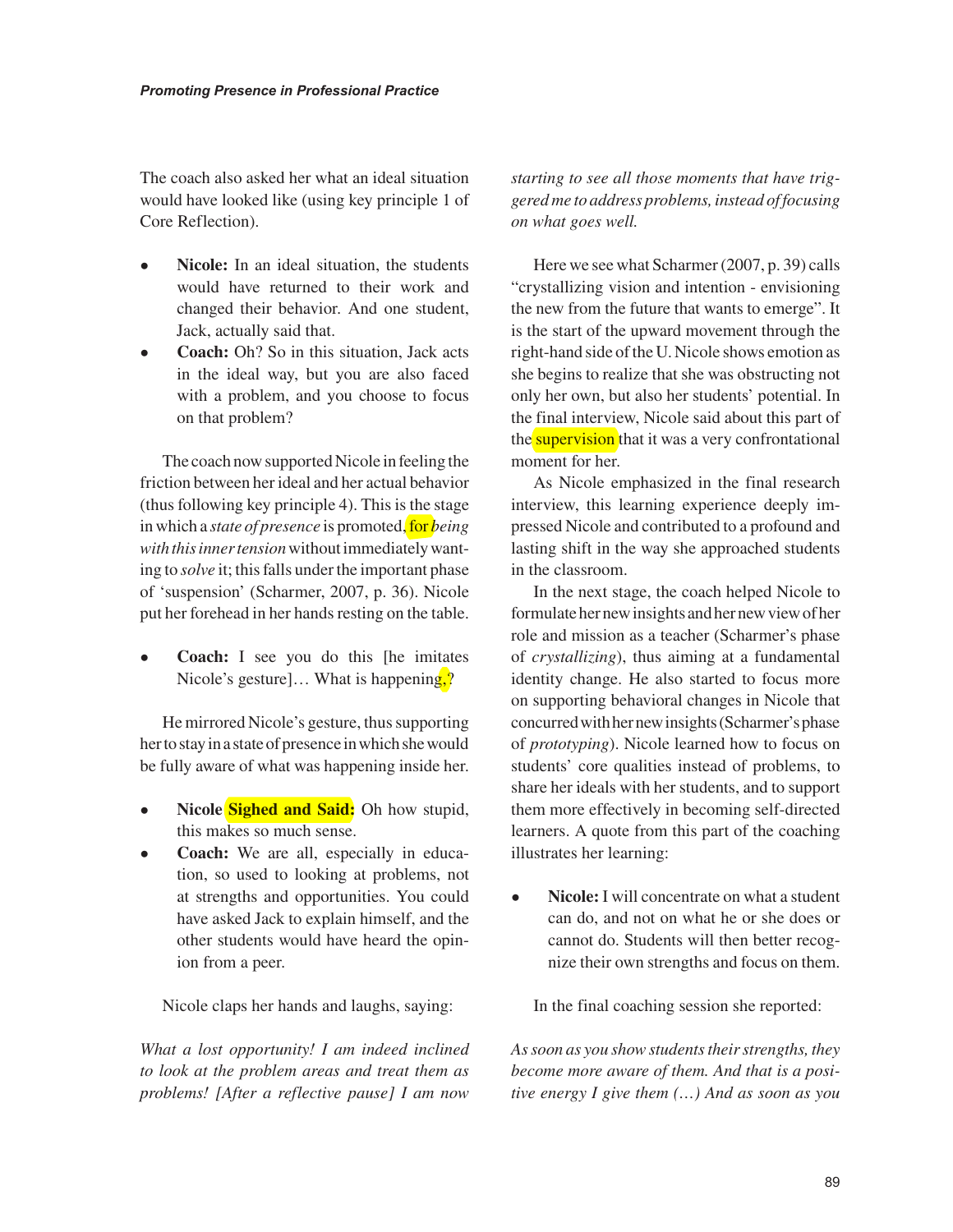The coach also asked her what an ideal situation would have looked like (using key principle 1 of Core Reflection).

- **Nicole:** In an ideal situation, the students would have returned to their work and changed their behavior. And one student, Jack, actually said that.
- **Coach:** Oh? So in this situation, Jack acts in the ideal way, but you are also faced with a problem, and you choose to focus on that problem?

The coach now supported Nicole in feeling the friction between her ideal and her actual behavior (thus following key principle 4). This is the stage in which a *state of presence* is promoted, for *being with this inner tension* without immediately wanting to *solve* it; this falls under the important phase of 'suspension' (Scharmer, 2007, p. 36). Nicole put her forehead in her hands resting on the table.

• **Coach:** I see you do this [he imitates Nicole's gesture]... What is happening,?

He mirrored Nicole's gesture, thus supporting her to stay in a state of presence in which she would be fully aware of what was happening inside her.

- **Nicole Sighed and Said:** Oh how stupid, this makes so much sense.
- **Coach:** We are all, especially in education, so used to looking at problems, not at strengths and opportunities. You could have asked Jack to explain himself, and the other students would have heard the opinion from a peer.

Nicole claps her hands and laughs, saying:

*What a lost opportunity! I am indeed inclined to look at the problem areas and treat them as problems! [After a reflective pause] I am now* 

*starting to see all those moments that have triggered me to address problems, instead of focusing on what goes well.* 

Here we see what Scharmer (2007, p. 39) calls "crystallizing vision and intention - envisioning the new from the future that wants to emerge". It is the start of the upward movement through the right-hand side of the U. Nicole shows emotion as she begins to realize that she was obstructing not only her own, but also her students' potential. In the final interview, Nicole said about this part of the **supervision** that it was a very confrontational moment for her.

As Nicole emphasized in the final research interview, this learning experience deeply impressed Nicole and contributed to a profound and lasting shift in the way she approached students in the classroom.

In the next stage, the coach helped Nicole to formulate her new insights and her new view of her role and mission as a teacher (Scharmer's phase of *crystallizing*), thus aiming at a fundamental identity change. He also started to focus more on supporting behavioral changes in Nicole that concurred with her new insights (Scharmer's phase of *prototyping*). Nicole learned how to focus on students' core qualities instead of problems, to share her ideals with her students, and to support them more effectively in becoming self-directed learners. A quote from this part of the coaching illustrates her learning:

• **Nicole:** I will concentrate on what a student can do, and not on what he or she does or cannot do. Students will then better recognize their own strengths and focus on them.

In the final coaching session she reported:

*As soon as you show students their strengths, they become more aware of them. And that is a positive energy I give them (…) And as soon as you*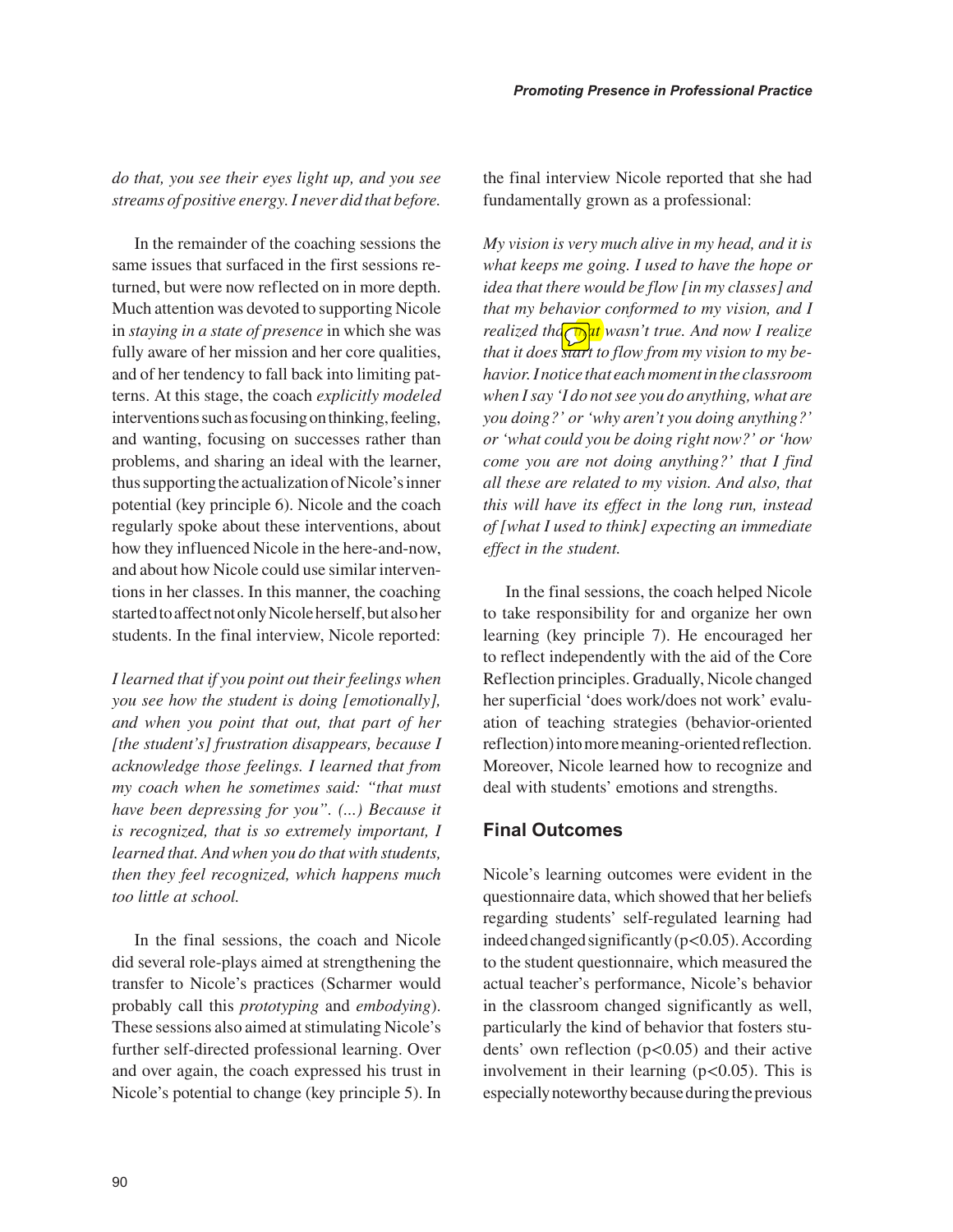*do that, you see their eyes light up, and you see streams of positive energy. I never did that before.* 

In the remainder of the coaching sessions the same issues that surfaced in the first sessions returned, but were now reflected on in more depth. Much attention was devoted to supporting Nicole in *staying in a state of presence* in which she was fully aware of her mission and her core qualities, and of her tendency to fall back into limiting patterns. At this stage, the coach *explicitly modeled* interventions such as focusing on thinking, feeling, and wanting, focusing on successes rather than problems, and sharing an ideal with the learner, thus supporting the actualization of Nicole's inner potential (key principle 6). Nicole and the coach regularly spoke about these interventions, about how they influenced Nicole in the here-and-now, and about how Nicole could use similar interventions in her classes. In this manner, the coaching started to affect not only Nicole herself, but also her students. In the final interview, Nicole reported:

*I learned that if you point out their feelings when you see how the student is doing [emotionally], and when you point that out, that part of her [the student's] frustration disappears, because I acknowledge those feelings. I learned that from my coach when he sometimes said: "that must have been depressing for you". (...) Because it is recognized, that is so extremely important, I learned that. And when you do that with students, then they feel recognized, which happens much too little at school.*

In the final sessions, the coach and Nicole did several role-plays aimed at strengthening the transfer to Nicole's practices (Scharmer would probably call this *prototyping* and *embodying*). These sessions also aimed at stimulating Nicole's further self-directed professional learning. Over and over again, the coach expressed his trust in Nicole's potential to change (key principle 5). In the final interview Nicole reported that she had fundamentally grown as a professional:

*My vision is very much alive in my head, and it is what keeps me going. I used to have the hope or idea that there would be flow [in my classes] and that my behavior conformed to my vision, and I realized tha* $\int \frac{dt}{dt}$  wasn't true. And now I realize *that it does start to flow from my vision to my behavior. I notice that each moment in the classroom when I say 'I do not see you do anything, what are you doing?' or 'why aren't you doing anything?' or 'what could you be doing right now?' or 'how come you are not doing anything?' that I find all these are related to my vision. And also, that this will have its effect in the long run, instead of [what I used to think] expecting an immediate effect in the student.*

In the final sessions, the coach helped Nicole to take responsibility for and organize her own learning (key principle 7). He encouraged her to reflect independently with the aid of the Core Reflection principles. Gradually, Nicole changed her superficial 'does work/does not work' evaluation of teaching strategies (behavior-oriented reflection) into more meaning-oriented reflection. Moreover, Nicole learned how to recognize and deal with students' emotions and strengths.

#### **Final Outcomes**

Nicole's learning outcomes were evident in the questionnaire data, which showed that her beliefs regarding students' self-regulated learning had indeed changed significantly  $(p<0.05)$ . According to the student questionnaire, which measured the actual teacher's performance, Nicole's behavior in the classroom changed significantly as well, particularly the kind of behavior that fosters students' own reflection  $(p<0.05)$  and their active involvement in their learning  $(p<0.05)$ . This is especially noteworthy because during the previous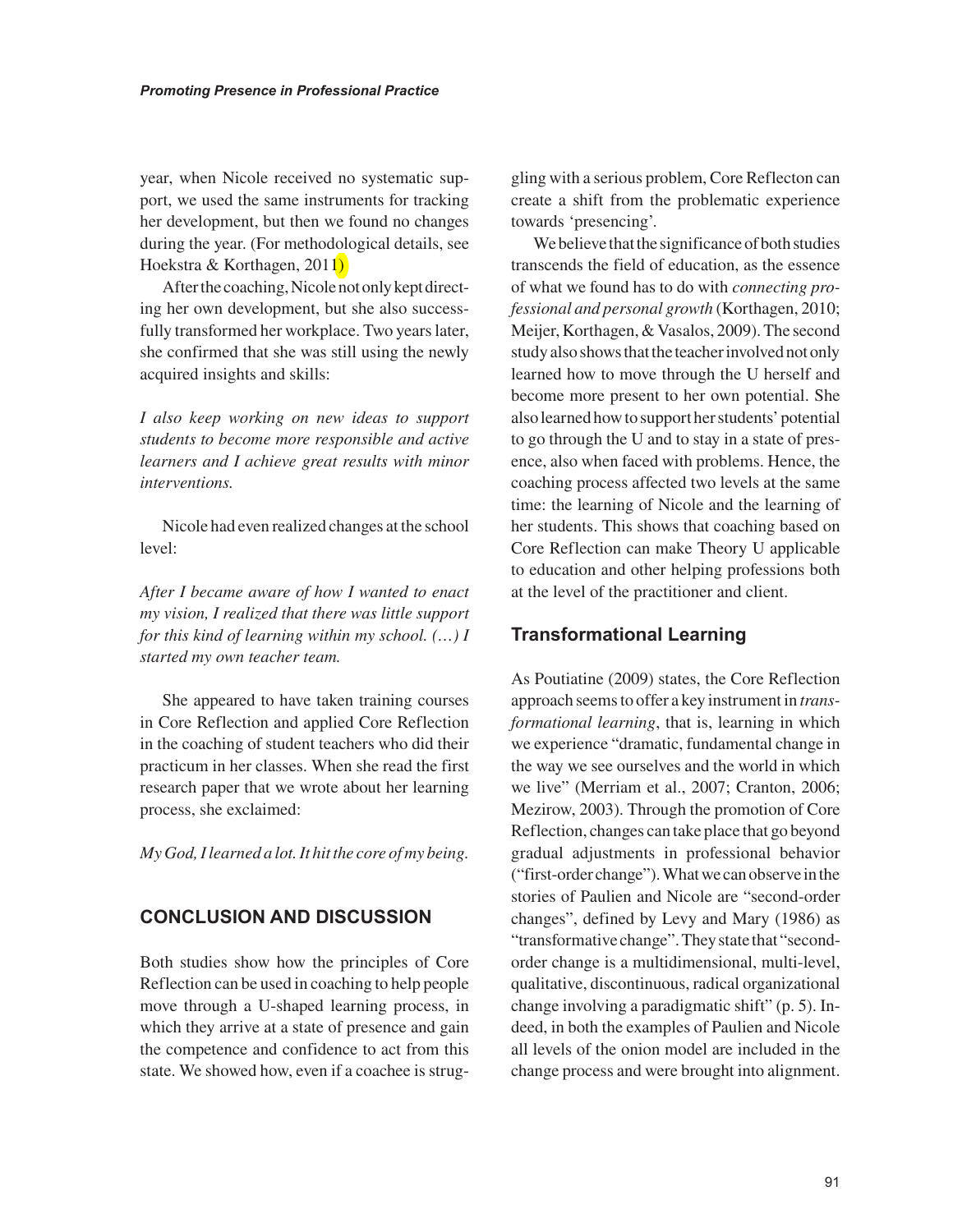year, when Nicole received no systematic support, we used the same instruments for tracking her development, but then we found no changes during the year. (For methodological details, see Hoekstra & Korthagen, 2011)

After the coaching, Nicole not only kept directing her own development, but she also successfully transformed her workplace. Two years later, she confirmed that she was still using the newly acquired insights and skills:

*I also keep working on new ideas to support students to become more responsible and active learners and I achieve great results with minor interventions.* 

Nicole had even realized changes at the school level:

*After I became aware of how I wanted to enact my vision, I realized that there was little support for this kind of learning within my school. (…) I started my own teacher team.* 

She appeared to have taken training courses in Core Reflection and applied Core Reflection in the coaching of student teachers who did their practicum in her classes. When she read the first research paper that we wrote about her learning process, she exclaimed:

*My God, I learned a lot. It hit the core of my being.*

#### **CONCLUSION AND DISCUSSION**

Both studies show how the principles of Core Reflection can be used in coaching to help people move through a U-shaped learning process, in which they arrive at a state of presence and gain the competence and confidence to act from this state. We showed how, even if a coachee is struggling with a serious problem, Core Reflecton can create a shift from the problematic experience towards 'presencing'.

We believe that the significance of both studies transcends the field of education, as the essence of what we found has to do with *connecting professional and personal growth* (Korthagen, 2010; Meijer, Korthagen, & Vasalos, 2009). The second study also shows that the teacher involved not only learned how to move through the U herself and become more present to her own potential. She also learned how to support her students' potential to go through the U and to stay in a state of presence, also when faced with problems. Hence, the coaching process affected two levels at the same time: the learning of Nicole and the learning of her students. This shows that coaching based on Core Reflection can make Theory U applicable to education and other helping professions both at the level of the practitioner and client.

#### **Transformational Learning**

As Poutiatine (2009) states, the Core Reflection approach seems to offer a key instrument in *transformational learning*, that is, learning in which we experience "dramatic, fundamental change in the way we see ourselves and the world in which we live" (Merriam et al., 2007; Cranton, 2006; Mezirow, 2003). Through the promotion of Core Reflection, changes can take place that go beyond gradual adjustments in professional behavior ("first-order change"). What we can observe in the stories of Paulien and Nicole are "second-order changes", defined by Levy and Mary (1986) as "transformative change". They state that "secondorder change is a multidimensional, multi-level, qualitative, discontinuous, radical organizational change involving a paradigmatic shift" (p. 5). Indeed, in both the examples of Paulien and Nicole all levels of the onion model are included in the change process and were brought into alignment.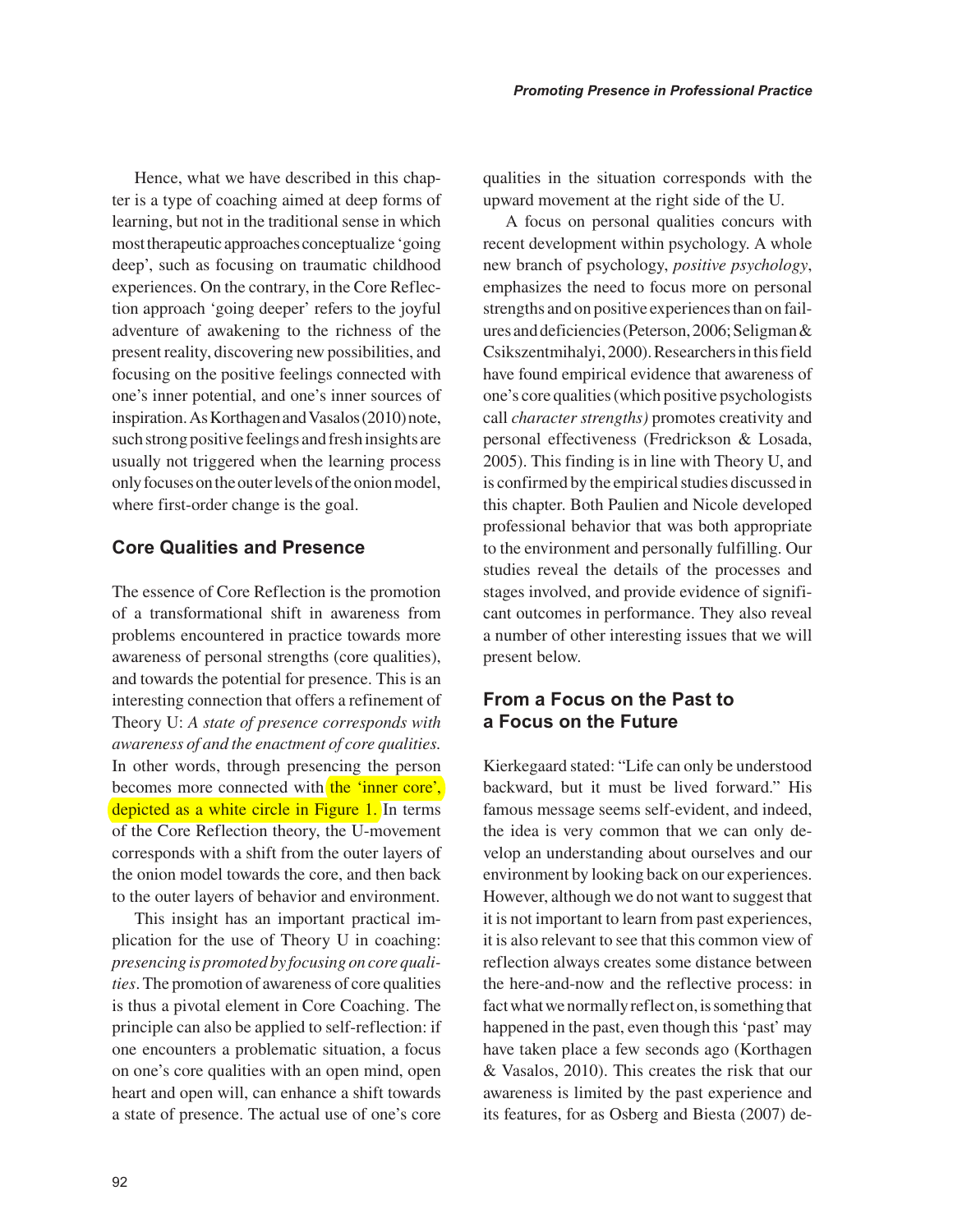Hence, what we have described in this chapter is a type of coaching aimed at deep forms of learning, but not in the traditional sense in which most therapeutic approaches conceptualize 'going deep', such as focusing on traumatic childhood experiences. On the contrary, in the Core Reflection approach 'going deeper' refers to the joyful adventure of awakening to the richness of the present reality, discovering new possibilities, and focusing on the positive feelings connected with one's inner potential, and one's inner sources of inspiration. As Korthagen and Vasalos (2010) note, such strong positive feelings and fresh insights are usually not triggered when the learning process only focuses on the outer levels of the onion model, where first-order change is the goal.

#### **Core Qualities and Presence**

The essence of Core Reflection is the promotion of a transformational shift in awareness from problems encountered in practice towards more awareness of personal strengths (core qualities), and towards the potential for presence. This is an interesting connection that offers a refinement of Theory U: *A state of presence corresponds with awareness of and the enactment of core qualities.* In other words, through presencing the person becomes more connected with the 'inner core', depicted as a white circle in Figure 1. In terms of the Core Reflection theory, the U-movement corresponds with a shift from the outer layers of the onion model towards the core, and then back to the outer layers of behavior and environment.

This insight has an important practical implication for the use of Theory U in coaching: *presencing is promoted by focusing on core qualities*. The promotion of awareness of core qualities is thus a pivotal element in Core Coaching. The principle can also be applied to self-reflection: if one encounters a problematic situation, a focus on one's core qualities with an open mind, open heart and open will, can enhance a shift towards a state of presence. The actual use of one's core qualities in the situation corresponds with the upward movement at the right side of the U.

A focus on personal qualities concurs with recent development within psychology. A whole new branch of psychology, *positive psychology*, emphasizes the need to focus more on personal strengths and on positive experiences than on failures and deficiencies (Peterson, 2006; Seligman & Csikszentmihalyi, 2000). Researchers in this field have found empirical evidence that awareness of one's core qualities (which positive psychologists call *character strengths)* promotes creativity and personal effectiveness (Fredrickson & Losada, 2005). This finding is in line with Theory U, and is confirmed by the empirical studies discussed in this chapter. Both Paulien and Nicole developed professional behavior that was both appropriate to the environment and personally fulfilling. Our studies reveal the details of the processes and stages involved, and provide evidence of significant outcomes in performance. They also reveal a number of other interesting issues that we will present below.

#### **From a Focus on the Past to a Focus on the Future**

Kierkegaard stated: "Life can only be understood backward, but it must be lived forward." His famous message seems self-evident, and indeed, the idea is very common that we can only develop an understanding about ourselves and our environment by looking back on our experiences. However, although we do not want to suggest that it is not important to learn from past experiences, it is also relevant to see that this common view of reflection always creates some distance between the here-and-now and the reflective process: in fact what we normally reflect on, is something that happened in the past, even though this 'past' may have taken place a few seconds ago (Korthagen & Vasalos, 2010). This creates the risk that our awareness is limited by the past experience and its features, for as Osberg and Biesta (2007) de-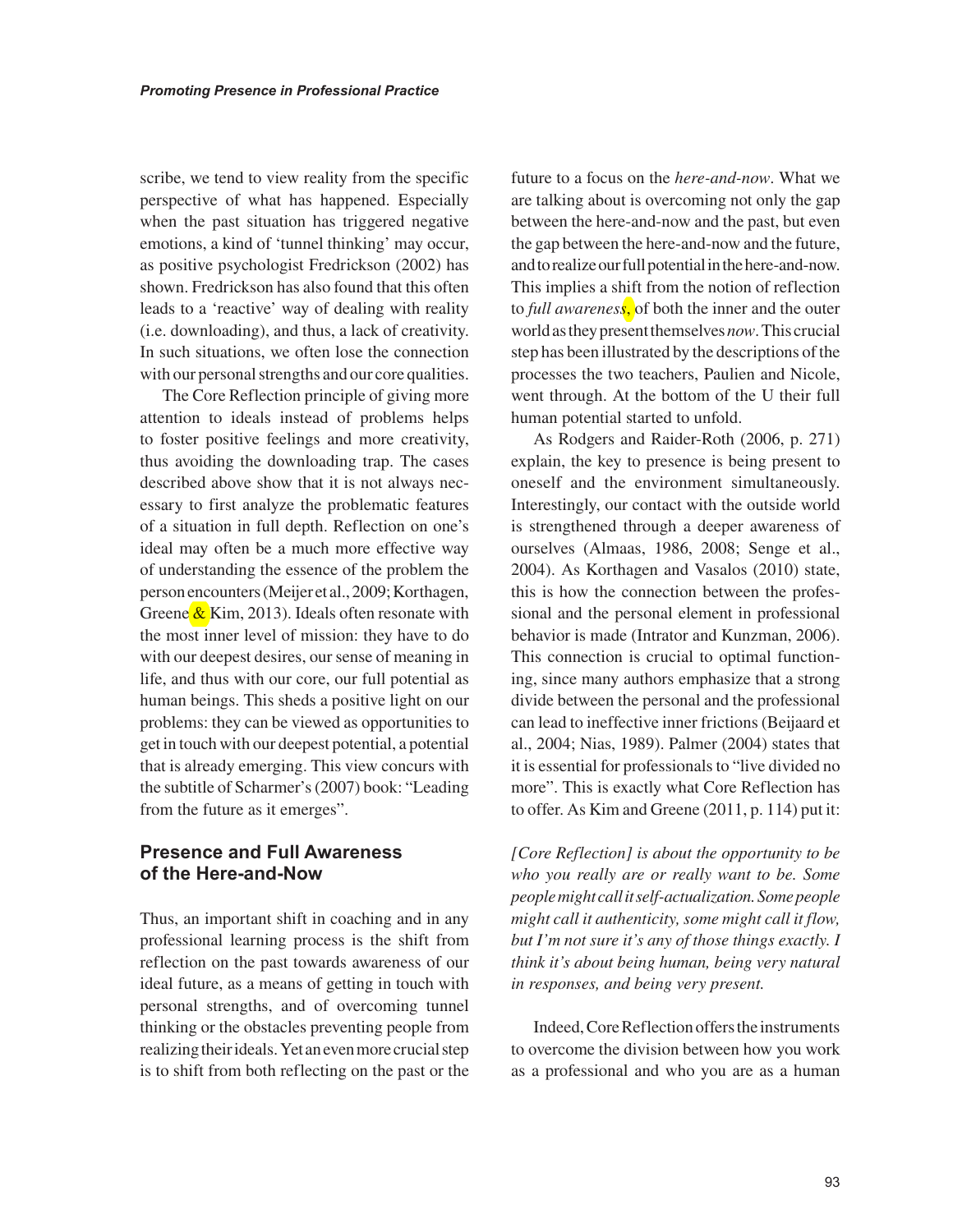scribe, we tend to view reality from the specific perspective of what has happened. Especially when the past situation has triggered negative emotions, a kind of 'tunnel thinking' may occur, as positive psychologist Fredrickson (2002) has shown. Fredrickson has also found that this often leads to a 'reactive' way of dealing with reality (i.e. downloading), and thus, a lack of creativity. In such situations, we often lose the connection with our personal strengths and our core qualities.

The Core Reflection principle of giving more attention to ideals instead of problems helps to foster positive feelings and more creativity, thus avoiding the downloading trap. The cases described above show that it is not always necessary to first analyze the problematic features of a situation in full depth. Reflection on one's ideal may often be a much more effective way of understanding the essence of the problem the person encounters (Meijer et al., 2009; Korthagen, Greene  $\&$  Kim, 2013). Ideals often resonate with the most inner level of mission: they have to do with our deepest desires, our sense of meaning in life, and thus with our core, our full potential as human beings. This sheds a positive light on our problems: they can be viewed as opportunities to get in touch with our deepest potential, a potential that is already emerging. This view concurs with the subtitle of Scharmer's (2007) book: "Leading from the future as it emerges".

#### **Presence and Full Awareness of the Here-and-Now**

Thus, an important shift in coaching and in any professional learning process is the shift from reflection on the past towards awareness of our ideal future, as a means of getting in touch with personal strengths, and of overcoming tunnel thinking or the obstacles preventing people from realizing their ideals. Yet an even more crucial step is to shift from both reflecting on the past or the

future to a focus on the *here-and-now*. What we are talking about is overcoming not only the gap between the here-and-now and the past, but even the gap between the here-and-now and the future, and to realize our full potential in the here-and-now. This implies a shift from the notion of reflection to *full awareness*, of both the inner and the outer world as they present themselves *now*. This crucial step has been illustrated by the descriptions of the processes the two teachers, Paulien and Nicole, went through. At the bottom of the U their full human potential started to unfold.

As Rodgers and Raider-Roth (2006, p. 271) explain, the key to presence is being present to oneself and the environment simultaneously. Interestingly, our contact with the outside world is strengthened through a deeper awareness of ourselves (Almaas, 1986, 2008; Senge et al., 2004). As Korthagen and Vasalos (2010) state, this is how the connection between the professional and the personal element in professional behavior is made (Intrator and Kunzman, 2006). This connection is crucial to optimal functioning, since many authors emphasize that a strong divide between the personal and the professional can lead to ineffective inner frictions (Beijaard et al., 2004; Nias, 1989). Palmer (2004) states that it is essential for professionals to "live divided no more". This is exactly what Core Reflection has to offer. As Kim and Greene (2011, p. 114) put it:

*[Core Reflection] is about the opportunity to be who you really are or really want to be. Some people might call it self-actualization. Some people might call it authenticity, some might call it flow, but I'm not sure it's any of those things exactly. I think it's about being human, being very natural in responses, and being very present.*

Indeed, Core Reflection offers the instruments to overcome the division between how you work as a professional and who you are as a human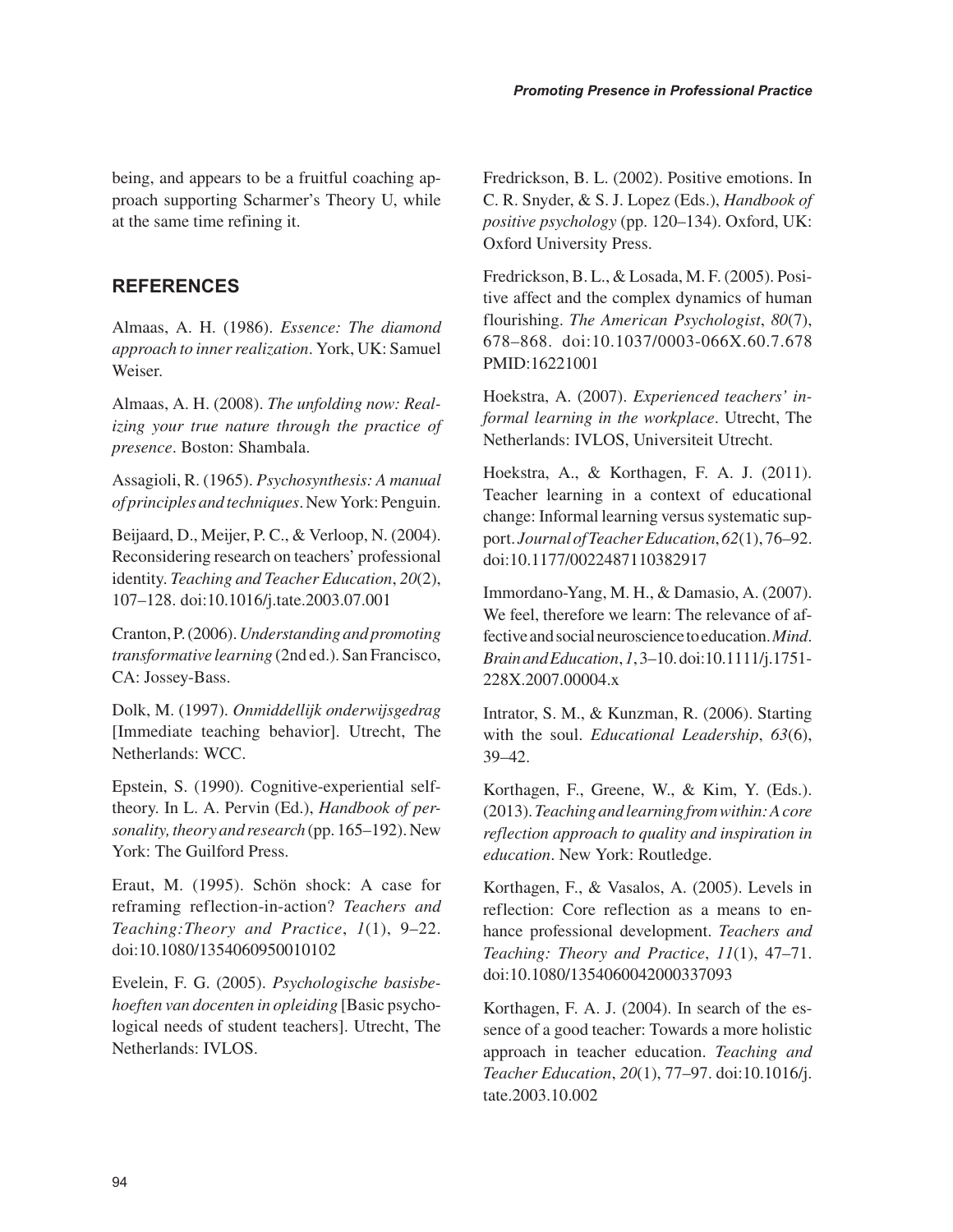being, and appears to be a fruitful coaching approach supporting Scharmer's Theory U, while at the same time refining it.

#### **REFERENCES**

Almaas, A. H. (1986). *Essence: The diamond approach to inner realization*. York, UK: Samuel Weiser.

Almaas, A. H. (2008). *The unfolding now: Realizing your true nature through the practice of presence*. Boston: Shambala.

Assagioli, R. (1965). *Psychosynthesis: A manual of principles and techniques*. New York: Penguin.

Beijaard, D., Meijer, P. C., & Verloop, N. (2004). Reconsidering research on teachers' professional identity. *Teaching and Teacher Education*, *20*(2), 107–128. doi:10.1016/j.tate.2003.07.001

Cranton, P. (2006). *Understanding and promoting transformative learning* (2nd ed.). San Francisco, CA: Jossey-Bass.

Dolk, M. (1997). *Onmiddellijk onderwijsgedrag* [Immediate teaching behavior]. Utrecht, The Netherlands: WCC.

Epstein, S. (1990). Cognitive-experiential selftheory. In L. A. Pervin (Ed.), *Handbook of personality, theory and research* (pp. 165–192). New York: The Guilford Press.

Eraut, M. (1995). Schön shock: A case for reframing reflection-in-action? *Teachers and Teaching:Theory and Practice*, *1*(1), 9–22. doi:10.1080/1354060950010102

Evelein, F. G. (2005). *Psychologische basisbehoeften van docenten in opleiding* [Basic psychological needs of student teachers]. Utrecht, The Netherlands: IVLOS.

Fredrickson, B. L. (2002). Positive emotions. In C. R. Snyder, & S. J. Lopez (Eds.), *Handbook of positive psychology* (pp. 120–134). Oxford, UK: Oxford University Press.

Fredrickson, B. L., & Losada, M. F. (2005). Positive affect and the complex dynamics of human flourishing. *The American Psychologist*, *80*(7), 678–868. doi:10.1037/0003-066X.60.7.678 PMID:16221001

Hoekstra, A. (2007). *Experienced teachers' informal learning in the workplace*. Utrecht, The Netherlands: IVLOS, Universiteit Utrecht.

Hoekstra, A., & Korthagen, F. A. J. (2011). Teacher learning in a context of educational change: Informal learning versus systematic support. *Journal of Teacher Education*, *62*(1), 76–92. doi:10.1177/0022487110382917

Immordano-Yang, M. H., & Damasio, A. (2007). We feel, therefore we learn: The relevance of affective and social neuroscience to education. *Mind*. *Brain and Education*, *1*, 3–10. doi:10.1111/j.1751- 228X.2007.00004.x

Intrator, S. M., & Kunzman, R. (2006). Starting with the soul. *Educational Leadership*, *63*(6), 39–42.

Korthagen, F., Greene, W., & Kim, Y. (Eds.). (2013). *Teaching and learning from within: A core reflection approach to quality and inspiration in education*. New York: Routledge.

Korthagen, F., & Vasalos, A. (2005). Levels in reflection: Core reflection as a means to enhance professional development. *Teachers and Teaching: Theory and Practice*, *11*(1), 47–71. doi:10.1080/1354060042000337093

Korthagen, F. A. J. (2004). In search of the essence of a good teacher: Towards a more holistic approach in teacher education. *Teaching and Teacher Education*, *20*(1), 77–97. doi:10.1016/j. tate.2003.10.002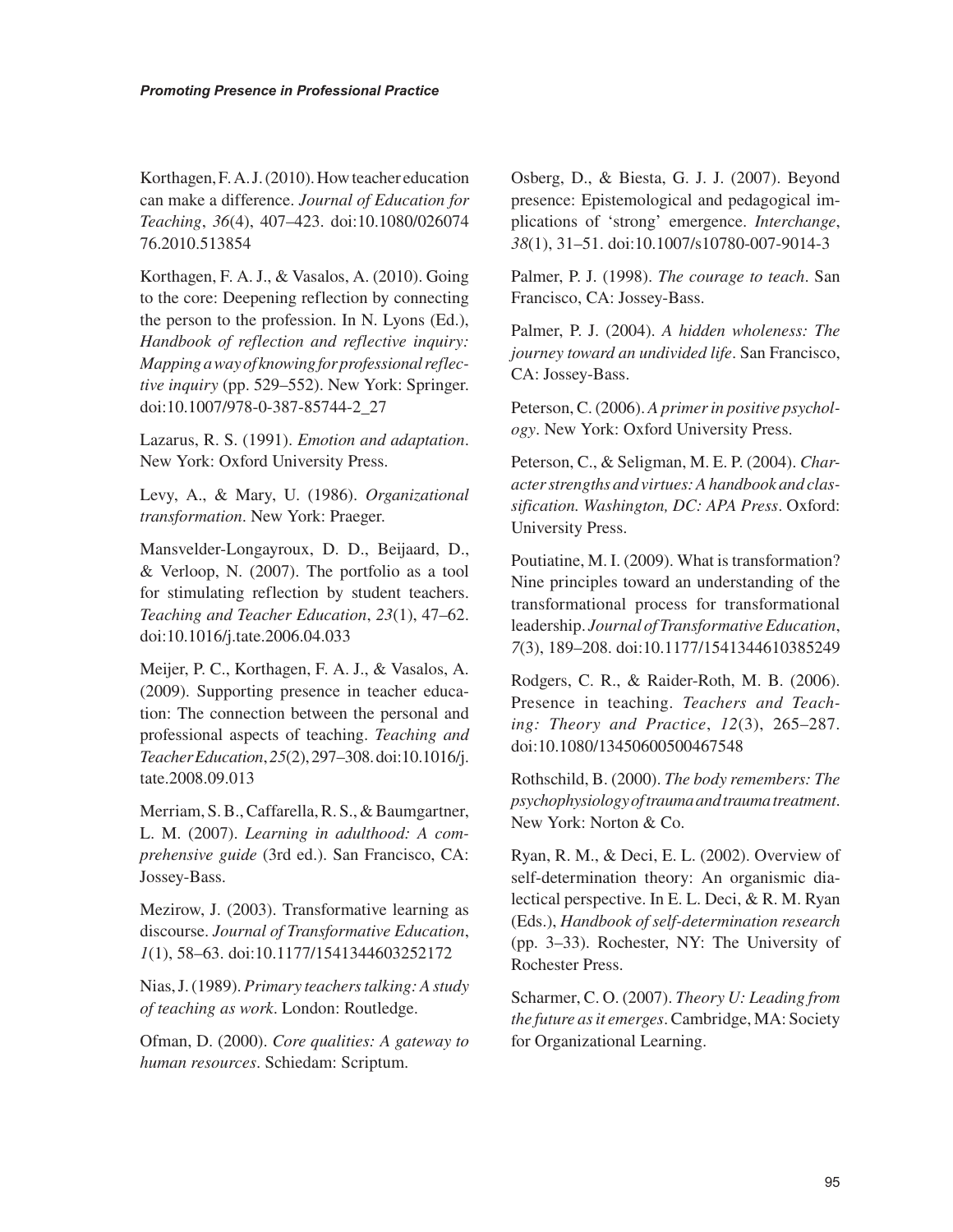Korthagen, F. A. J. (2010). How teacher education can make a difference. *Journal of Education for Teaching*, *36*(4), 407–423. doi:10.1080/026074 76.2010.513854

Korthagen, F. A. J., & Vasalos, A. (2010). Going to the core: Deepening reflection by connecting the person to the profession. In N. Lyons (Ed.), *Handbook of reflection and reflective inquiry: Mapping a way of knowing for professional reflective inquiry* (pp. 529–552). New York: Springer. doi:10.1007/978-0-387-85744-2\_27

Lazarus, R. S. (1991). *Emotion and adaptation*. New York: Oxford University Press.

Levy, A., & Mary, U. (1986). *Organizational transformation*. New York: Praeger.

Mansvelder-Longayroux, D. D., Beijaard, D., & Verloop, N. (2007). The portfolio as a tool for stimulating reflection by student teachers. *Teaching and Teacher Education*, *23*(1), 47–62. doi:10.1016/j.tate.2006.04.033

Meijer, P. C., Korthagen, F. A. J., & Vasalos, A. (2009). Supporting presence in teacher education: The connection between the personal and professional aspects of teaching. *Teaching and Teacher Education*, *25*(2), 297–308. doi:10.1016/j. tate.2008.09.013

Merriam, S. B., Caffarella, R. S., & Baumgartner, L. M. (2007). *Learning in adulthood: A comprehensive guide* (3rd ed.). San Francisco, CA: Jossey-Bass.

Mezirow, J. (2003). Transformative learning as discourse. *Journal of Transformative Education*, *1*(1), 58–63. doi:10.1177/1541344603252172

Nias, J. (1989). *Primary teachers talking: A study of teaching as work*. London: Routledge.

Ofman, D. (2000). *Core qualities: A gateway to human resources*. Schiedam: Scriptum.

Osberg, D., & Biesta, G. J. J. (2007). Beyond presence: Epistemological and pedagogical implications of 'strong' emergence. *Interchange*, *38*(1), 31–51. doi:10.1007/s10780-007-9014-3

Palmer, P. J. (1998). *The courage to teach*. San Francisco, CA: Jossey-Bass.

Palmer, P. J. (2004). *A hidden wholeness: The journey toward an undivided life*. San Francisco, CA: Jossey-Bass.

Peterson, C. (2006). *A primer in positive psychology*. New York: Oxford University Press.

Peterson, C., & Seligman, M. E. P. (2004). *Character strengths and virtues: A handbook and classification. Washington, DC: APA Press*. Oxford: University Press.

Poutiatine, M. I. (2009). What is transformation? Nine principles toward an understanding of the transformational process for transformational leadership. *Journal of Transformative Education*, *7*(3), 189–208. doi:10.1177/1541344610385249

Rodgers, C. R., & Raider-Roth, M. B. (2006). Presence in teaching. *Teachers and Teaching: Theory and Practice*, *12*(3), 265–287. doi:10.1080/13450600500467548

Rothschild, B. (2000). *The body remembers: The psychophysiology of trauma and trauma treatment*. New York: Norton & Co.

Ryan, R. M., & Deci, E. L. (2002). Overview of self-determination theory: An organismic dialectical perspective. In E. L. Deci, & R. M. Ryan (Eds.), *Handbook of self-determination research* (pp. 3–33). Rochester, NY: The University of Rochester Press.

Scharmer, C. O. (2007). *Theory U: Leading from the future as it emerges*. Cambridge, MA: Society for Organizational Learning.